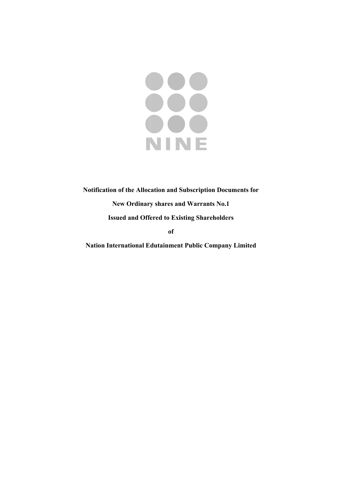

# Notification of the Allocation and Subscription Documents for New Ordinary shares and Warrants No.1 **Issued and Offered to Existing Shareholders**

**of** 

**Nation International Edutainment Public Company Limited**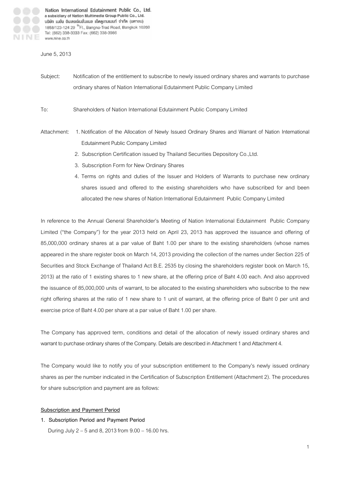### June 5, 2013

- Subject: Notification of the entitlement to subscribe to newly issued ordinary shares and warrants to purchase ordinary shares of Nation International Edutainment Public Company Limited
- To: Shareholders of Nation International Edutainment Public Company Limited
- Attachment: 1. Notification of the Allocation of Newly Issued Ordinary Shares and Warrant of Nation International Edutainment Public Company Limited
	- 2. Subscription Certification issued by Thailand Securities Depository Co.,Ltd.
	- 3. Subscription Form for New Ordinary Shares
	- 4. Terms on rights and duties of the Issuer and Holders of Warrants to purchase new ordinary shares issued and offered to the existing shareholders who have subscribed for and been allocated the new shares of Nation International Edutainment Public Company Limited

In reference to the Annual General Shareholder's Meeting of Nation International Edutainment Public Company Limited ("the Company") for the year 2013 held on April 23, 2013 has approved the issuance and offering of 85,000,000 ordinary shares at a par value of Baht 1.00 per share to the existing shareholders (whose names appeared in the share register book on March 14, 2013 providing the collection of the names under Section 225 of Securities and Stock Exchange of Thailand Act B.E. 2535 by closing the shareholders register book on March 15, 2013) at the ratio of 1 existing shares to 1 new share, at the offering price of Baht 4.00 each. And also approved the issuance of 85,000,000 units of warrant, to be allocated to the existing shareholders who subscribe to the new right offering shares at the ratio of 1 new share to 1 unit of warrant, at the offering price of Baht 0 per unit and exercise price of Baht 4.00 per share at a par value of Baht 1.00 per share.

The Company has approved term, conditions and detail of the allocation of newly issued ordinary shares and warrant to purchase ordinary shares of the Company. Details are described in Attachment 1 and Attachment 4.

The Company would like to notify you of your subscription entitlement to the Company's newly issued ordinary shares as per the number indicated in the Certification of Subscription Entitlement (Attachment 2). The procedures for share subscription and payment are as follows:

#### **Subscription and Payment Period**

**1. Subscription Period and Payment Period** 

During July 2 – 5 and 8, 2013 from 9.00 – 16.00 hrs.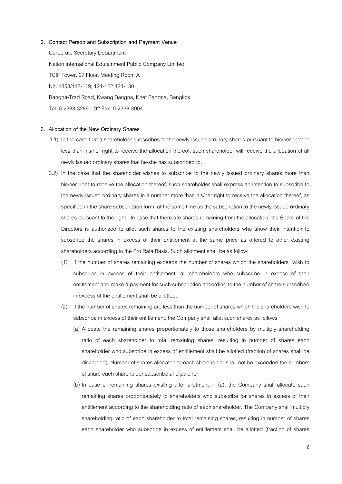**2. Contact Person and Subscription and Payment Venue**  Corporate Secretary Department Nation International Edutainment Public Company Limited TCIF Tower, 27 Floor, Meeting Room A No. 1858/118-119, 121-122,124-130 Bangna-Trad Road, Kwang Bangna, Khet Bangna, Bangkok Tel. 0-2338-3289 – 92 Fax. 0-2338-3904

#### **3. Allocation of the New Ordinary Shares**

- 3.1) In the case that a shareholder subscribes to the newly issued ordinary shares pursuant to his/her right or less than his/her right to receive the allocation thereof, such shareholder will receive the allocation of all newly issued ordinary shares that he/she has subscribed to.
- 3.2) In the case that the shareholder wishes to subscribe to the newly issued ordinary shares more than his/her right to receive the allocation thereof, such shareholder shall express an intention to subscribe to the newly issued ordinary shares in a number more than his/her right to receive the allocation thereof, as specified in the share subscription form, at the same time as the subscription to the newly issued ordinary shares pursuant to the right. In case that there are shares remaining from the allocation, the Board of the Directors is authorized to allot such shares to the existing shareholders who show their intention to subscribe the shares in excess of their entitlement at the same price as offered to other existing shareholders according to the Pro Rata Basis. Such allotment shall be as follow:
	- (1) If the number of shares remaining exceeds the number of shares which the shareholders wish to subscribe in excess of their entitlement, all shareholders who subscribe in excess of their entitlement and make a payment for such subscription according to the number of share subscribed in excess of the entitlement shall be allotted.
	- (2) If the number of shares remaining are less than the number of shares which the shareholders wish to subscribe in excess of their entitlement, the Company shall allot such shares as follows:
		- (a) Allocate the remaining shares proportionately to those shareholders by multiply shareholding ratio of each shareholder to total remaining shares, resulting in number of shares each shareholder who subscribe in excess of entitlement shall be allotted (fraction of shares shall be discarded). Number of shares allocated to each shareholder shall not be exceeded the numbers of share each shareholder subscribe and paid for.
		- (b) In case of remaining shares existing after allotment in (a), the Company shall allocate such remaining shares proportionately to shareholders who subscribe for shares in excess of their entitlement according to the shareholding ratio of each shareholder. The Company shall multiply shareholding ratio of each shareholder to total remaining shares, resulting in number of shares each shareholder who subscribe in excess of entitlement shall be allotted (fraction of shares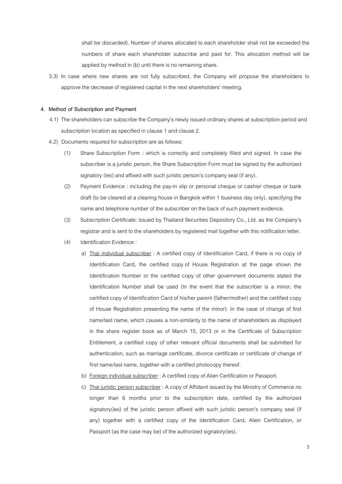shall be discarded). Number of shares allocated to each shareholder shall not be exceeded the numbers of share each shareholder subscribe and paid for. This allocation method will be applied by method in (b) until there is no remaining share.

3.3) In case where new shares are not fully subscribed, the Company will propose the shareholders to approve the decrease of registered capital in the next shareholders' meeting.

#### **4. Method of Subscription and Payment**

- 4.1) The shareholders can subscribe the Company's newly issued ordinary shares at subscription period and subscription location as specified in clause 1 and clause 2.
- 4.2) Documents required for subscription are as follows:
	- (1) Share Subscription Form : which is correctly and completely filled and signed. In case the subscriber is a juristic person, the Share Subscription Form must be signed by the authorized signatory (ies) and affixed with such juristic person's company seal (if any).
	- (2) Payment Evidence : including the pay-in slip or personal cheque or cashier cheque or bank draft (to be cleared at a clearing house in Bangkok within 1 business day only), specifying the name and telephone number of the subscriber on the back of such payment evidence.
	- (3) Subscription Certificate: issued by Thailand Securities Depository Co., Ltd. as the Company's registrar and is sent to the shareholders by registered mail together with this notification letter.
	- (4) Identification Evidence :
		- a) Thai individual subscriber : A certified copy of Identification Card, if there is no copy of Identification Card, the certified copy of House Registration at the page shown the Identification Number or the certified copy of other government documents stated the Identification Number shall be used (In the event that the subscriber is a minor, the certified copy of Identification Card of his/her parent (father/mother) and the certified copy of House Registration presenting the name of the minor). In the case of change of first name/last name, which causes a non-similarity to the name of shareholders as displayed in the share register book as of March 15, 2013 or in the Certificate of Subscription Entitlement, a certified copy of other relevant official documents shall be submitted for authentication, such as marriage certificate, divorce certificate or certificate of change of first name/last name, together with a certified photocopy thereof.
		- b) Foreign individual subscriber : A certified copy of Alien Certification or Passport.
		- c) Thai juristic person subscriber : A copy of Affidavit issued by the Ministry of Commerce no longer than 6 months prior to the subscription date, certified by the authorized signatory(ies) of the juristic person affixed with such juristic person's company seal (if any) together with a certified copy of the Identification Card, Alien Certification, or Passport (as the case may be) of the authorized signatory(ies).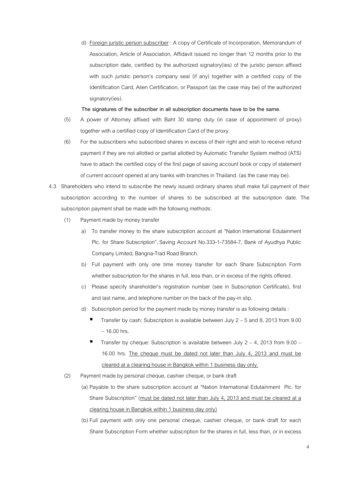d) Foreign juristic person subscriber : A copy of Certificate of Incorporation, Memorandum of Association, Article of Association, Affidavit issued no longer than 12 months prior to the subscription date, certified by the authorized signatory(ies) of the juristic person affixed with such juristic person's company seal (if any) together with a certified copy of the Identification Card, Alien Certification, or Passport (as the case may be) of the authorized signatory(ies).

**The signatures of the subscriber in all subscription documents have to be the same.** 

- (5) A power of Attorney affixed with Baht 30 stamp duty (in case of appointment of proxy) together with a certified copy of Identification Card of the proxy.
- (6) For the subscribers who subscribed shares in excess of their right and wish to receive refund payment if they are not allotted or partial allotted by Automatic Transfer System method (ATS) have to attach the certified copy of the first page of saving account book or copy of statement of current account opened at any banks with branches in Thailand. (as the case may be).
- 4.3 Shareholders who intend to subscribe the newly issued ordinary shares shall make full payment of their subscription according to the number of shares to be subscribed at the subscription date. The subscription payment shall be made with the following methods:
	- (1) Payment made by money transfer
		- a) To transfer money to the share subscription account at "Nation International Edutainment Plc. for Share Subscription", Saving Account No.333-1-73584-7, Bank of Ayudhya Public Company Limited, Bangna-Trad Road Branch.
		- b) Full payment with only one time money transfer for each Share Subscription Form whether subscription for the shares in full, less than, or in excess of the rights offered.
		- c) Please specify shareholder's registration number (see in Subscription Certificate), first and last name, and telephone number on the back of the pay-in slip.
		- d) Subscription period for the payment made by money transfer is as following details :
			- Transfer by cash: Subscription is available between July 2 5 and 8, 2013 from 9.00 – 16.00 hrs.
			- **Transfer by cheque: Subscription is available between July 2 4, 2013 from 9.00 -**16.00 hrs. The cheque must be dated not later than July 4, 2013 and must be cleared at a clearing house in Bangkok within 1 business day only.
	- (2) Payment made by personal cheque, cashier cheque, or bank draft
		- (a) Payable to the share subscription account at "Nation International Edutainment Plc. for Share Subscription" (must be dated not later than July 4, 2013 and must be cleared at a clearing house in Bangkok within 1 business day only)
		- (b)Full payment with only one personal cheque, cashier cheque, or bank draft for each Share Subscription Form whether subscription for the shares in full, less than, or in excess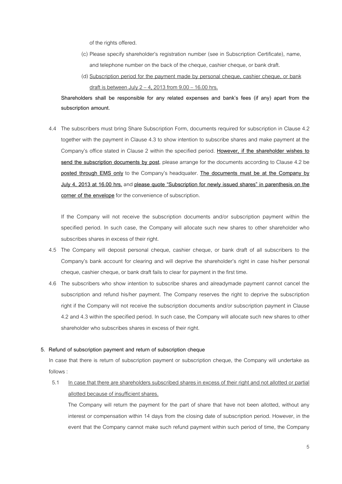of the rights offered.

- (c) Please specify shareholder's registration number (see in Subscription Certificate), name, and telephone number on the back of the cheque, cashier cheque, or bank draft.
- (d) Subscription period for the payment made by personal cheque, cashier cheque, or bank draft is between July  $2 - 4$ , 2013 from  $9.00 - 16.00$  hrs.

**Shareholders shall be responsible for any related expenses and bank's fees (if any) apart from the subscription amount.** 

4.4 The subscribers must bring Share Subscription Form, documents required for subscription in Clause 4.2 together with the payment in Clause 4.3 to show intention to subscribe shares and make payment at the Company's office stated in Clause 2 within the specified period. **However, if the shareholder wishes to send the subscription documents by post**, please arrange for the documents according to Clause 4.2 be **posted through EMS only** to the Company's headquater. **The documents must be at the Company by July 4, 2013 at 16.00 hrs.** and **please quote "Subscription for newly issued shares" in parenthesis on the corner of the envelope** for the convenience of subscription.

If the Company will not receive the subscription documents and/or subscription payment within the specified period. In such case, the Company will allocate such new shares to other shareholder who subscribes shares in excess of their right.

- 4.5 The Company will deposit personal cheque, cashier cheque, or bank draft of all subscribers to the Company's bank account for clearing and will deprive the shareholder's right in case his/her personal cheque, cashier cheque, or bank draft fails to clear for payment in the first time.
- 4.6 The subscribers who show intention to subscribe shares and alreadymade payment cannot cancel the subscription and refund his/her payment. The Company reserves the right to deprive the subscription right if the Company will not receive the subscription documents and/or subscription payment in Clause 4.2 and 4.3 within the specified period. In such case, the Company will allocate such new shares to other shareholder who subscribes shares in excess of their right.

#### **5. Refund of subscription payment and return of subscription cheque**

 In case that there is return of subscription payment or subscription cheque, the Company will undertake as follows :

# 5.1 In case that there are shareholders subscribed shares in excess of their right and not allotted or partial allotted because of insufficient shares.

The Company will return the payment for the part of share that have not been allotted, without any interest or compensation within 14 days from the closing date of subscription period. However, in the event that the Company cannot make such refund payment within such period of time, the Company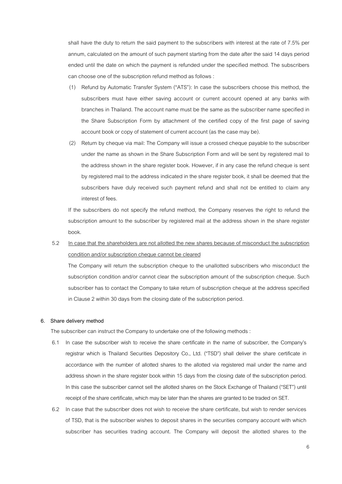shall have the duty to return the said payment to the subscribers with interest at the rate of 7.5% per annum, calculated on the amount of such payment starting from the date after the said 14 days period ended until the date on which the payment is refunded under the specified method. The subscribers can choose one of the subscription refund method as follows :

- (1) Refund by Automatic Transfer System ("ATS"): In case the subscribers choose this method, the subscribers must have either saving account or current account opened at any banks with branches in Thailand. The account name must be the same as the subscriber name specified in the Share Subscription Form by attachment of the certified copy of the first page of saving account book or copy of statement of current account (as the case may be).
- (2) Return by cheque via mail: The Company will issue a crossed cheque payable to the subscriber under the name as shown in the Share Subscription Form and will be sent by registered mail to the address shown in the share register book. However, if in any case the refund cheque is sent by registered mail to the address indicated in the share register book, it shall be deemed that the subscribers have duly received such payment refund and shall not be entitled to claim any interest of fees.

If the subscribers do not specify the refund method, the Company reserves the right to refund the subscription amount to the subscriber by registered mail at the address shown in the share register book.

# 5.2 In case that the shareholders are not allotted the new shares because of misconduct the subscription condition and/or subscription cheque cannot be cleared

The Company will return the subscription cheque to the unallotted subscribers who misconduct the subscription condition and/or cannot clear the subscription amount of the subscription cheque. Such subscriber has to contact the Company to take return of subscription cheque at the address specified in Clause 2 within 30 days from the closing date of the subscription period.

#### **6. Share delivery method**

The subscriber can instruct the Company to undertake one of the following methods :

- 6.1 In case the subscriber wish to receive the share certificate in the name of subscriber, the Company's registrar which is Thailand Securities Depository Co., Ltd. ("TSD") shall deliver the share certificate in accordance with the number of allotted shares to the allotted via registered mail under the name and address shown in the share register book within 15 days from the closing date of the subscription period. In this case the subscriber cannot sell the allotted shares on the Stock Exchange of Thailand ("SET") until receipt of the share certificate, which may be later than the shares are granted to be traded on SET.
- 6.2 In case that the subscriber does not wish to receive the share certificate, but wish to render services of TSD, that is the subscriber wishes to deposit shares in the securities company account with which subscriber has securities trading account. The Company will deposit the allotted shares to the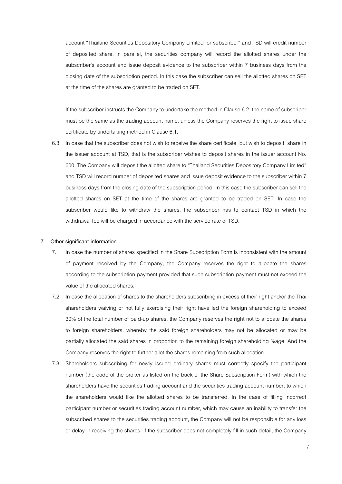account "Thailand Securities Depository Company Limited for subscriber" and TSD will credit number of deposited share, in parallel, the securities company will record the allotted shares under the subscriber's account and issue deposit evidence to the subscriber within 7 business days from the closing date of the subscription period. In this case the subscriber can sell the allotted shares on SET at the time of the shares are granted to be traded on SET.

If the subscriber instructs the Company to undertake the method in Clause 6.2, the name of subscriber must be the same as the trading account name, unless the Company reserves the right to issue share certificate by undertaking method in Clause 6.1.

6.3 In case that the subscriber does not wish to receive the share certificate, but wish to deposit share in the issuer account at TSD, that is the subscriber wishes to deposit shares in the issuer account No. 600. The Company will deposit the allotted share to "Thailand Securities Depository Company Limited" and TSD will record number of deposited shares and issue deposit evidence to the subscriber within 7 business days from the closing date of the subscription period. In this case the subscriber can sell the allotted shares on SET at the time of the shares are granted to be traded on SET. In case the subscriber would like to withdraw the shares, the subscriber has to contact TSD in which the withdrawal fee will be charged in accordance with the service rate of TSD.

#### **7. Other significant information**

- 7.1 In case the number of shares specified in the Share Subscription Form is inconsistent with the amount of payment received by the Company, the Company reserves the right to allocate the shares according to the subscription payment provided that such subscription payment must not exceed the value of the allocated shares.
- 7.2 In case the allocation of shares to the shareholders subscribing in excess of their right and/or the Thai shareholders waiving or not fully exercising their right have led the foreign shareholding to exceed 30% of the total number of paid-up shares, the Company reserves the right not to allocate the shares to foreign shareholders, whereby the said foreign shareholders may not be allocated or may be partially allocated the said shares in proportion to the remaining foreign shareholding %age. And the Company reserves the right to further allot the shares remaining from such allocation.
- 7.3 Shareholders subscribing for newly issued ordinary shares must correctly specify the participant number (the code of the broker as listed on the back of the Share Subscription Form) with which the shareholders have the securities trading account and the securities trading account number, to which the shareholders would like the allotted shares to be transferred. In the case of filling incorrect participant number or securities trading account number, which may cause an inability to transfer the subscribed shares to the securities trading account, the Company will not be responsible for any loss or delay in receiving the shares. If the subscriber does not completely fill in such detail, the Company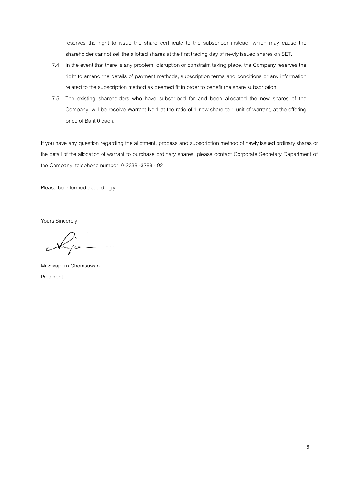reserves the right to issue the share certificate to the subscriber instead, which may cause the shareholder cannot sell the allotted shares at the first trading day of newly issued shares on SET.

- 7.4 In the event that there is any problem, disruption or constraint taking place, the Company reserves the right to amend the details of payment methods, subscription terms and conditions or any information related to the subscription method as deemed fit in order to benefit the share subscription.
- 7.5 The existing shareholders who have subscribed for and been allocated the new shares of the Company, will be receive Warrant No.1 at the ratio of 1 new share to 1 unit of warrant, at the offering price of Baht 0 each.

If you have any question regarding the allotment, process and subscription method of newly issued ordinary shares or the detail of the allocation of warrant to purchase ordinary shares, please contact Corporate Secretary Department of the Company, telephone number 0-2338 -3289 - 92

Please be informed accordingly.

Yours Sincerely,

Mr.Sivaporn Chomsuwan President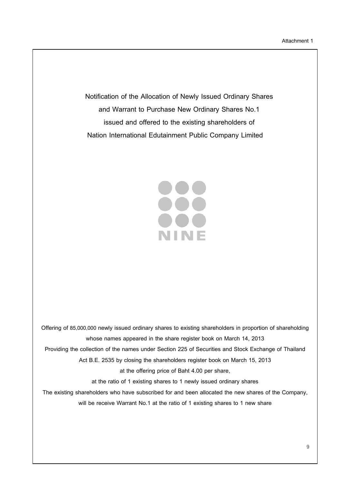**Notification of the Allocation of Newly Issued Ordinary Shares and Warrant to Purchase New Ordinary Shares No.1 issued and offered to the existing shareholders of Nation International Edutainment Public Company Limited** 

> 388 NINE

**Offering of 85,000,000 newly issued ordinary shares to existing shareholders in proportion of shareholding whose names appeared in the share register book on March 14, 2013 Providing the collection of the names under Section 225 of Securities and Stock Exchange of Thailand Act B.E. 2535 by closing the shareholders register book on March 15, 2013 at the offering price of Baht 4.00 per share, at the ratio of 1 existing shares to 1 newly issued ordinary shares The existing shareholders who have subscribed for and been allocated the new shares of the Company, will be receive Warrant No.1 at the ratio of 1 existing shares to 1 new share**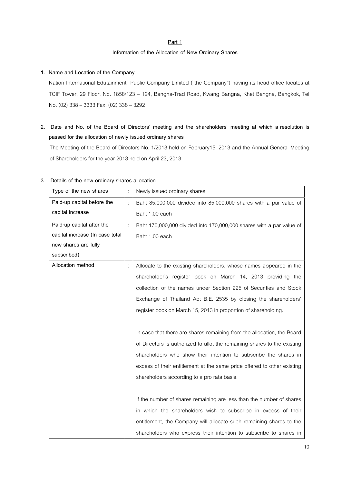# **Part 1**

#### **Information of the Allocation of New Ordinary Shares**

# **1. Name and Location of the Company**

Nation International Edutainment Public Company Limited ("the Company") having its head office locates at TCIF Tower, 29 Floor, No. 1858/123 – 124, Bangna-Trad Road, Kwang Bangna, Khet Bangna, Bangkok, Tel No. (02) 338 – 3333 Fax. (02) 338 – 3292

**2. Date and No. of the Board of Directors' meeting and the shareholders' meeting at which a resolution is passed for the allocation of newly issued ordinary shares** 

The Meeting of the Board of Directors No. 1/2013 held on February15, 2013 and the Annual General Meeting of Shareholders for the year 2013 held on April 23, 2013.

| Type of the new shares          |   | Newly issued ordinary shares                                             |
|---------------------------------|---|--------------------------------------------------------------------------|
| Paid-up capital before the      | t | Baht 85,000,000 divided into 85,000,000 shares with a par value of       |
| capital increase                |   | Baht 1.00 each                                                           |
| Paid-up capital after the       |   | Baht 170,000,000 divided into 170,000,000 shares with a par value of     |
| capital increase (In case total |   | Baht 1.00 each                                                           |
| new shares are fully            |   |                                                                          |
| subscribed)                     |   |                                                                          |
| Allocation method               |   | Allocate to the existing shareholders, whose names appeared in the       |
|                                 |   | shareholder's register book on March 14, 2013 providing the              |
|                                 |   | collection of the names under Section 225 of Securities and Stock        |
|                                 |   | Exchange of Thailand Act B.E. 2535 by closing the shareholders'          |
|                                 |   | register book on March 15, 2013 in proportion of shareholding.           |
|                                 |   |                                                                          |
|                                 |   | In case that there are shares remaining from the allocation, the Board   |
|                                 |   | of Directors is authorized to allot the remaining shares to the existing |
|                                 |   | shareholders who show their intention to subscribe the shares in         |
|                                 |   | excess of their entitlement at the same price offered to other existing  |
|                                 |   | shareholders according to a pro rata basis.                              |
|                                 |   |                                                                          |
|                                 |   | If the number of shares remaining are less than the number of shares     |
|                                 |   | in which the shareholders wish to subscribe in excess of their           |
|                                 |   | entitlement, the Company will allocate such remaining shares to the      |
|                                 |   | shareholders who express their intention to subscribe to shares in       |

#### **3. Details of the new ordinary shares allocation**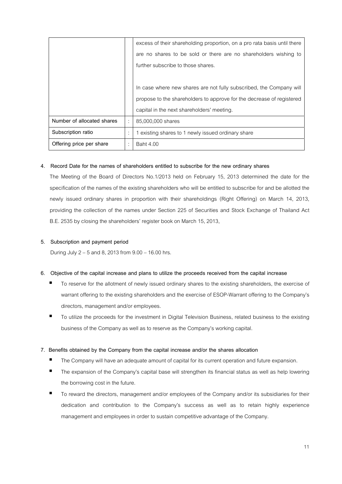|                            | excess of their shareholding proportion, on a pro rata basis until there |
|----------------------------|--------------------------------------------------------------------------|
|                            | are no shares to be sold or there are no shareholders wishing to         |
|                            | further subscribe to those shares.                                       |
|                            |                                                                          |
|                            | In case where new shares are not fully subscribed, the Company will      |
|                            | propose to the shareholders to approve for the decrease of registered    |
|                            | capital in the next shareholders' meeting.                               |
| Number of allocated shares | 85,000,000 shares                                                        |
| Subscription ratio         | 1 existing shares to 1 newly issued ordinary share                       |
| Offering price per share   | <b>Baht 4.00</b>                                                         |

#### **4. Record Date for the names of shareholders entitled to subscribe for the new ordinary shares**

The Meeting of the Board of Directors No.1/2013 held on February 15, 2013 determined the date for the specification of the names of the existing shareholders who will be entitled to subscribe for and be allotted the newly issued ordinary shares in proportion with their shareholdings (Right Offering) on March 14, 2013, providing the collection of the names under Section 225 of Securities and Stock Exchange of Thailand Act B.E. 2535 by closing the shareholders' register book on March 15, 2013,

#### **5. Subscription and payment period**

During July 2 – 5 and 8, 2013 from 9.00 – 16.00 hrs.

#### **6. Objective of the capital increase and plans to utilize the proceeds received from the capital increase**

- To reserve for the allotment of newly issued ordinary shares to the existing shareholders, the exercise of warrant offering to the existing shareholders and the exercise of ESOP-Warrant offering to the Company's directors, management and/or employees.
- To utilize the proceeds for the investment in Digital Television Business, related business to the existing business of the Company as well as to reserve as the Company's working capital.

#### **7. Benefits obtained by the Company from the capital increase and/or the shares allocation**

- The Company will have an adequate amount of capital for its current operation and future expansion.
- The expansion of the Company's capital base will strengthen its financial status as well as help lowering the borrowing cost in the future.
- To reward the directors, management and/or employees of the Company and/or its subsidiaries for their dedication and contribution to the Company's success as well as to retain highly experience management and employees in order to sustain competitive advantage of the Company.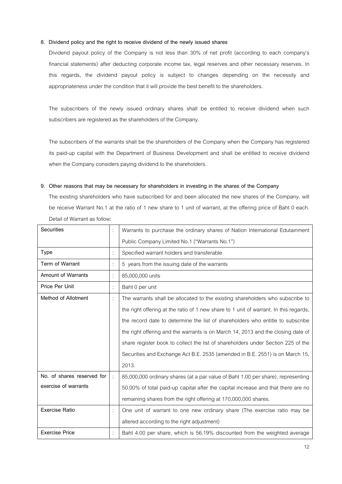#### **8. Dividend policy and the right to receive dividend of the newly issued shares**

Dividend payout policy of the Company is not less than 30% of net profit (according to each company's financial statements) after deducting corporate income tax, legal reserves and other necessary reserves. In this regards, the dividend payout policy is subject to changes depending on the necessity and appropriateness under the condition that it will provide the best benefit to the shareholders.

 The subscribers of the newly issued ordinary shares shall be entitled to receive dividend when such subscribers are registered as the shareholders of the Company.

 The subscribers of the warrants shall be the shareholders of the Company when the Company has registered its paid-up capital with the Department of Business Development and shall be entitled to receive dividend when the Company considers paying dividend to the shareholders.

#### **9. Other reasons that may be necessary for shareholders in investing in the shares of the Company**

The existing shareholders who have subscribed for and been allocated the new shares of the Company, will be receive Warrant No.1 at the ratio of 1 new share to 1 unit of warrant, at the offering price of Baht 0 each. Detail of Warrant as follow:

| <b>Securities</b>          |   | Warrants to purchase the ordinary shares of Nation International Edutainment          |
|----------------------------|---|---------------------------------------------------------------------------------------|
|                            |   | Public Company Limited No.1 ("Warrants No.1")                                         |
| Type                       |   | Specified warrant holders and transferable                                            |
| Term of Warrant            |   | 5 years from the issuing date of the warrants                                         |
| <b>Amount of Warrants</b>  |   | 85,000,000 units                                                                      |
| Price Per Unit             |   | Baht 0 per unit                                                                       |
| Method of Allotment        |   | The warrants shall be allocated to the existing shareholders who subscribe to         |
|                            |   | the right offering at the ratio of 1 new share to 1 unit of warrant. In this regards, |
|                            |   | the record date to determine the list of shareholders who entitle to subscribe        |
|                            |   | the right offering and the warrants is on March 14, 2013 and the closing date of      |
|                            |   | share register book to collect the list of shareholders under Section 225 of the      |
|                            |   | Securities and Exchange Act B.E. 2535 (amended in B.E. 2551) is on March 15,          |
|                            |   | 2013.                                                                                 |
| No. of shares reserved for | t | 85,000,000 ordinary shares (at a par value of Baht 1.00 per share), representing      |
| exercise of warrants       |   | 50.00% of total paid-up capital after the capital increase and that there are no      |
|                            |   | remaining shares from the right offering at 170,000,000 shares.                       |
| <b>Exercise Ratio</b>      |   | One unit of warrant to one new ordinary share (The exercise ratio may be              |
|                            |   | altered according to the right adjustment)                                            |
| <b>Exercise Price</b>      |   | Baht 4.00 per share, which is 56.19% discounted from the weighted average             |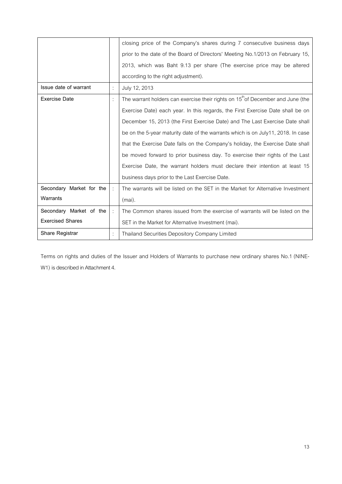|                          |   | closing price of the Company's shares during 7 consecutive business days                    |
|--------------------------|---|---------------------------------------------------------------------------------------------|
|                          |   | prior to the date of the Board of Directors' Meeting No.1/2013 on February 15,              |
|                          |   | 2013, which was Baht 9.13 per share (The exercise price may be altered                      |
|                          |   | according to the right adjustment).                                                         |
| Issue date of warrant    |   | July 12, 2013                                                                               |
| <b>Exercise Date</b>     | ÷ | The warrant holders can exercise their rights on 15 <sup>th</sup> of December and June (the |
|                          |   | Exercise Date) each year. In this regards, the First Exercise Date shall be on              |
|                          |   | December 15, 2013 (the First Exercise Date) and The Last Exercise Date shall                |
|                          |   | be on the 5-year maturity date of the warrants which is on July11, 2018. In case            |
|                          |   | that the Exercise Date falls on the Company's holiday, the Exercise Date shall              |
|                          |   | be moved forward to prior business day. To exercise their rights of the Last                |
|                          |   | Exercise Date, the warrant holders must declare their intention at least 15                 |
|                          |   | business days prior to the Last Exercise Date.                                              |
| Secondary Market for the | ÷ | The warrants will be listed on the SET in the Market for Alternative Investment             |
| Warrants                 |   | (mai).                                                                                      |
| Secondary Market of the  | ÷ | The Common shares issued from the exercise of warrants will be listed on the                |
| <b>Exercised Shares</b>  |   | SET in the Market for Alternative Investment (mai).                                         |
| Share Registrar          |   | Thailand Securities Depository Company Limited                                              |

Terms on rights and duties of the Issuer and Holders of Warrants to purchase new ordinary shares No.1 (NINE-W1) is described in Attachment 4.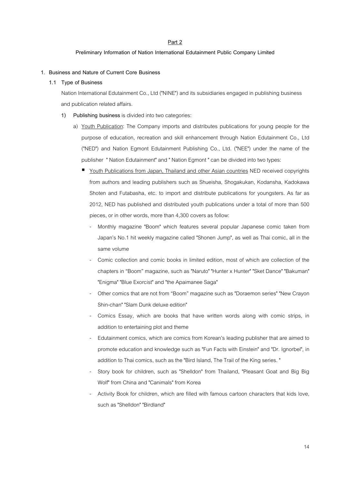#### **Part 2**

#### **Preliminary Information of Nation International Edutainment Public Company Limited**

#### **1. Business and Nature of Current Core Business**

#### **1.1 Type of Business**

 Nation International Edutainment Co., Ltd ("NINE") and its subsidiaries engaged in publishing business and publication related affairs.

- **1) Publishing business** is divided into two categories:
	- a) Youth Publication: The Company imports and distributes publications for young people for the purpose of education, recreation and skill enhancement through Nation Edutainment Co., Ltd ("NED") and Nation Egmont Edutainment Publishing Co., Ltd. ("NEE") under the name of the publisher " Nation Edutainment" and " Nation Egmont " can be divided into two types:
		- Youth Publications from Japan, Thailand and other Asian countries NED received copyrights from authors and leading publishers such as Shueisha, Shogakukan, Kodansha, Kadokawa Shoten and Futabasha, etc. to import and distribute publications for youngsters. As far as 2012, NED has published and distributed youth publications under a total of more than 500 pieces, or in other words, more than 4,300 covers as follow:
			- Monthly magazine "Boom" which features several popular Japanese comic taken from Japan's No.1 hit weekly magazine called "Shonen Jump", as well as Thai comic, all in the same volume
			- Comic collection and comic books in limited edition, most of which are collection of the chapters in "Boom" magazine, such as "Naruto" "Hunter x Hunter" "Sket Dance" "Bakuman" "Enigma" "Blue Exorcist" and "the Apaimanee Saga"
			- Other comics that are not from "Boom" magazine such as "Doraemon series" "New Crayon Shin-chan" "Slam Dunk deluxe edition"
			- Comics Essay, which are books that have written words along with comic strips, in addition to entertaining plot and theme
			- Edutainment comics, which are comics from Korean's leading publisher that are aimed to promote education and knowledge such as "Fun Facts with Einstein" and "Dr. Ignorbel", in addition to Thai comics, such as the "Bird Island, The Trail of the King series. "
			- Story book for children, such as "Shelldon" from Thailand, "Pleasant Goat and Big Big Wolf" from China and "Canimals" from Korea
			- Activity Book for children, which are filled with famous cartoon characters that kids love, such as "Shelldon" "Birdland"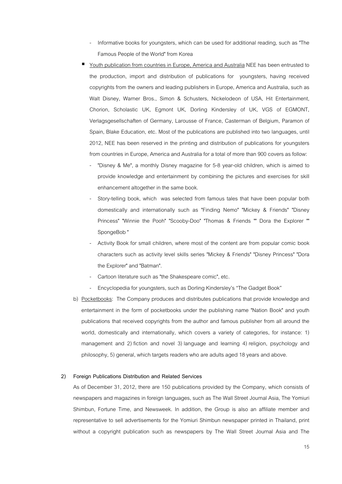- Informative books for youngsters, which can be used for additional reading, such as "The Famous People of the World" from Korea
- Youth publication from countries in Europe, America and Australia NEE has been entrusted to the production, import and distribution of publications for youngsters, having received copyrights from the owners and leading publishers in Europe, America and Australia, such as Walt Disney, Warner Bros., Simon & Schusters, Nickelodeon of USA, Hit Entertainment, Chorion, Scholastic UK, Egmont UK, Dorling Kindersley of UK, VGS of EGMONT, Verlagsgesellschaften of Germany, Larousse of France, Casterman of Belgium, Paramon of Spain, Blake Education, etc. Most of the publications are published into two languages, until 2012, NEE has been reserved in the printing and distribution of publications for youngsters from countries in Europe, America and Australia for a total of more than 900 covers as follow:
	- "Disney & Me", a monthly Disney magazine for 5-8 year-old children, which is aimed to provide knowledge and entertainment by combining the pictures and exercises for skill enhancement altogether in the same book.
	- Story-telling book, which was selected from famous tales that have been popular both domestically and internationally such as "Finding Nemo" "Mickey & Friends" "Disney Princess" "Winnie the Pooh" "Scooby-Doo" "Thomas & Friends "" Dora the Explorer "" SpongeBob "
	- Activity Book for small children, where most of the content are from popular comic book characters such as activity level skills series "Mickey & Friends" "Disney Princess" "Dora the Explorer" and "Batman".
	- Cartoon literature such as "the Shakespeare comic", etc.
	- Encyclopedia for youngsters, such as Dorling Kindersley's "The Gadget Book"
- b) Pocketbooks: The Company produces and distributes publications that provide knowledge and entertainment in the form of pocketbooks under the publishing name "Nation Book" and youth publications that received copyrights from the author and famous publisher from all around the world, domestically and internationally, which covers a variety of categories, for instance: 1) management and 2) fiction and novel 3) language and learning 4) religion, psychology and philosophy, 5) general, which targets readers who are adults aged 18 years and above.

#### **2) Foreign Publications Distribution and Related Services**

As of December 31, 2012, there are 150 publications provided by the Company, which consists of newspapers and magazines in foreign languages, such as The Wall Street Journal Asia, The Yomiuri Shimbun, Fortune Time, and Newsweek. In addition, the Group is also an affiliate member and representative to sell advertisements for the Yomiuri Shimbun newspaper printed in Thailand, print without a copyright publication such as newspapers by The Wall Street Journal Asia and The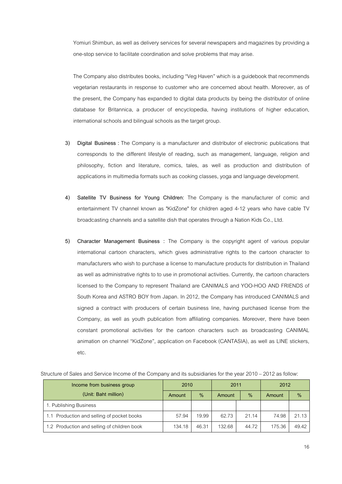Yomiuri Shimbun, as well as delivery services for several newspapers and magazines by providing a one-stop service to facilitate coordination and solve problems that may arise.

The Company also distributes books, including "Veg Haven" which is a guidebook that recommends vegetarian restaurants in response to customer who are concerned about health. Moreover, as of the present, the Company has expanded to digital data products by being the distributor of online database for Britannica, a producer of encyclopedia, having institutions of higher education, international schools and bilingual schools as the target group.

- **3) Digital Business :** The Company is a manufacturer and distributor of electronic publications that corresponds to the different lifestyle of reading, such as management, language, religion and philosophy, fiction and literature, comics, tales, as well as production and distribution of applications in multimedia formats such as cooking classes, yoga and language development.
- **4) Satellite TV Business for Young Children:** The Company is the manufacturer of comic and entertainment TV channel known as "KidZone" for children aged 4-12 years who have cable TV broadcasting channels and a satellite dish that operates through a Nation Kids Co., Ltd.
- **5) Character Management Business :** The Company is the copyright agent of various popular international cartoon characters, which gives administrative rights to the cartoon character to manufacturers who wish to purchase a license to manufacture products for distribution in Thailand as well as administrative rights to to use in promotional activities. Currently, the cartoon characters licensed to the Company to represent Thailand are CANIMALS and YOO-HOO AND FRIENDS of South Korea and ASTRO BOY from Japan. In 2012, the Company has introduced CANIMALS and signed a contract with producers of certain business line, having purchased license from the Company, as well as youth publication from affiliating companies. Moreover, there have been constant promotional activities for the cartoon characters such as broadcasting CANIMAL animation on channel "KidZone", application on Facebook (CANTASIA), as well as LINE stickers, etc.

| Income from business group                  | 2010   |               | 2011   |       | 2012   |               |  |
|---------------------------------------------|--------|---------------|--------|-------|--------|---------------|--|
| (Unit: Baht million)                        | Amount | $\frac{9}{6}$ | Amount | $\%$  | Amount | $\frac{0}{0}$ |  |
| 1. Publishing Business                      |        |               |        |       |        |               |  |
| 1.1 Production and selling of pocket books  | 57.94  | 19.99         | 62.73  | 21.14 | 74.98  | 21.13         |  |
| 1.2 Production and selling of children book | 134.18 | 46.31         | 132.68 | 44.72 | 175.36 | 49.42         |  |

Structure of Sales and Service Income of the Company and its subsidiaries for the year 2010 – 2012 as follow: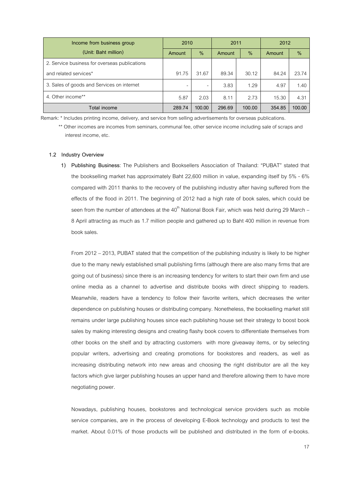| Income from business group                    | 2010                     |        | 2011   |        | 2012   |        |
|-----------------------------------------------|--------------------------|--------|--------|--------|--------|--------|
| (Unit: Baht million)                          | Amount                   | $\%$   | Amount | $\%$   | Amount | $\%$   |
| 2. Service business for overseas publications |                          |        |        |        |        |        |
| and related services*                         | 91.75                    | 31.67  | 89.34  | 30.12  | 84.24  | 23.74  |
| 3. Sales of goods and Services on internet    | $\overline{\phantom{0}}$ | -      | 3.83   | 1.29   | 4.97   | 1.40   |
| 4. Other income**                             | 5.87                     | 2.03   | 8.11   | 2.73   | 15.30  | 4.31   |
| Total income                                  | 289.74                   | 100.00 | 296.69 | 100.00 | 354.85 | 100.00 |

Remark: \* Includes printing income, delivery, and service from selling advertisements for overseas publications.

\*\* Other incomes are incomes from seminars, communal fee, other service income including sale of scraps and interest income, etc.

#### **1.2 Industry Overview**

**1) Publishing Business**: The Publishers and Booksellers Association of Thailand: "PUBAT" stated that the bookselling market has approximately Baht 22,600 million in value, expanding itself by 5% - 6% compared with 2011 thanks to the recovery of the publishing industry after having suffered from the effects of the flood in 2011. The beginning of 2012 had a high rate of book sales, which could be seen from the number of attendees at the  $40<sup>th</sup>$  National Book Fair, which was held during 29 March – 8 April attracting as much as 1.7 million people and gathered up to Baht 400 million in revenue from book sales.

From 2012 – 2013, PUBAT stated that the competition of the publishing industry is likely to be higher due to the many newly established small publishing firms (although there are also many firms that are going out of business) since there is an increasing tendency for writers to start their own firm and use online media as a channel to advertise and distribute books with direct shipping to readers. Meanwhile, readers have a tendency to follow their favorite writers, which decreases the writer dependence on publishing houses or distributing company. Nonetheless, the bookselling market still remains under large publishing houses since each publishing house set their strategy to boost book sales by making interesting designs and creating flashy book covers to differentiate themselves from other books on the shelf and by attracting customers with more giveaway items, or by selecting popular writers, advertising and creating promotions for bookstores and readers, as well as increasing distributing network into new areas and choosing the right distributor are all the key factors which give larger publishing houses an upper hand and therefore allowing them to have more negotiating power.

Nowadays, publishing houses, bookstores and technological service providers such as mobile service companies, are in the process of developing E-Book technology and products to test the market. About 0.01% of those products will be published and distributed in the form of e-books.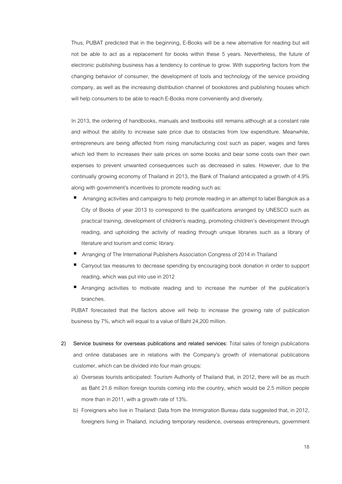Thus, PUBAT predicted that in the beginning, E-Books will be a new alternative for reading but will not be able to act as a replacement for books within these 5 years. Nevertheless, the future of electronic publishing business has a tendency to continue to grow. With supporting factors from the changing behavior of consumer, the development of tools and technology of the service providing company, as well as the increasing distribution channel of bookstores and publishing houses which will help consumers to be able to reach E-Books more conveniently and diversely.

In 2013, the ordering of handbooks, manuals and textbooks still remains although at a constant rate and without the ability to increase sale price due to obstacles from low expenditure. Meanwhile, entrepreneurs are being affected from rising manufacturing cost such as paper, wages and fares which led them to increases their sale prices on some books and bear some costs own their own expenses to prevent unwanted consequences such as decreased in sales. However, due to the continually growing economy of Thailand in 2013, the Bank of Thailand anticipated a growth of 4.9% along with government's incentives to promote reading such as:

- Arranging activities and campaigns to help promote reading in an attempt to label Bangkok as a City of Books of year 2013 to correspond to the qualifications arranged by UNESCO such as practical training, development of children's reading, promoting children's development through reading, and upholding the activity of reading through unique libraries such as a library of literature and tourism and comic library.
- Arranging of The International Publishers Association Congress of 2014 in Thailand
- Carryout tax measures to decrease spending by encouraging book donation in order to support reading, which was put into use in 2012
- Arranging activities to motivate reading and to increase the number of the publication's branches.

PUBAT forecasted that the factors above will help to increase the growing rate of publication business by 7%, which will equal to a value of Baht 24,200 million.

- **2) Service business for overseas publications and related services:** Total sales of foreign publications and online databases are in relations with the Company's growth of international publications customer, which can be divided into four main groups:
	- a) Overseas tourists anticipated: Tourism Authority of Thailand that, in 2012, there will be as much as Baht 21.6 million foreign tourists coming into the country, which would be 2.5 million people more than in 2011, with a growth rate of 13%.
	- b) Foreigners who live in Thailand: Data from the Immigration Bureau data suggested that, in 2012, foreigners living in Thailand, including temporary residence, overseas entrepreneurs, government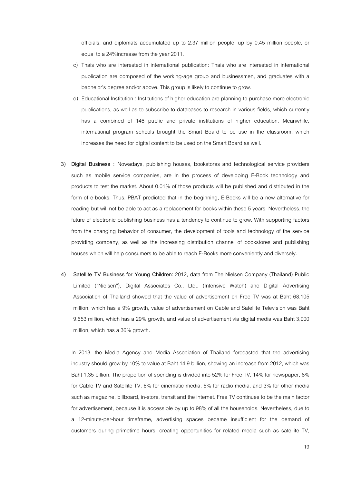officials, and diplomats accumulated up to 2.37 million people, up by 0.45 million people, or equal to a 24%increase from the year 2011.

- c) Thais who are interested in international publication: Thais who are interested in international publication are composed of the working-age group and businessmen, and graduates with a bachelor's degree and/or above. This group is likely to continue to grow.
- d) Educational Institution : Institutions of higher education are planning to purchase more electronic publications, as well as to subscribe to databases to research in various fields, which currently has a combined of 146 public and private institutions of higher education. Meanwhile, international program schools brought the Smart Board to be use in the classroom, which increases the need for digital content to be used on the Smart Board as well.
- **3) Digital Business :** Nowadays, publishing houses, bookstores and technological service providers such as mobile service companies, are in the process of developing E-Book technology and products to test the market. About 0.01% of those products will be published and distributed in the form of e-books. Thus, PBAT predicted that in the beginning, E-Books will be a new alternative for reading but will not be able to act as a replacement for books within these 5 years. Nevertheless, the future of electronic publishing business has a tendency to continue to grow. With supporting factors from the changing behavior of consumer, the development of tools and technology of the service providing company, as well as the increasing distribution channel of bookstores and publishing houses which will help consumers to be able to reach E-Books more conveniently and diversely.
- **4) Satellite TV Business for Young Children**: 2012, data from The Nielsen Company (Thailand) Public Limited ("Nielsen"), Digital Associates Co., Ltd., (Intensive Watch) and Digital Advertising Association of Thailand showed that the value of advertisement on Free TV was at Baht 68,105 million, which has a 9% growth, value of advertisement on Cable and Satellite Television was Baht 9,653 million, which has a 29% growth, and value of advertisement via digital media was Baht 3,000 million, which has a 36% growth.

In 2013, the Media Agency and Media Association of Thailand forecasted that the advertising industry should grow by 10% to value at Baht 14.9 billion, showing an increase from 2012, which was Baht 1.35 billion. The proportion of spending is divided into 52% for Free TV, 14% for newspaper, 8% for Cable TV and Satellite TV, 6% for cinematic media, 5% for radio media, and 3% for other media such as magazine, billboard, in-store, transit and the internet. Free TV continues to be the main factor for advertisement, because it is accessible by up to 98% of all the households. Nevertheless, due to a 12-minute-per-hour timeframe, advertising spaces became insufficient for the demand of customers during primetime hours, creating opportunities for related media such as satellite TV,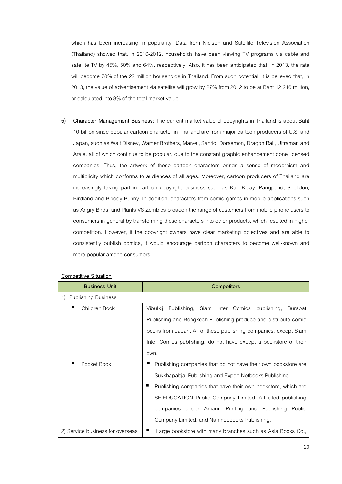which has been increasing in popularity. Data from Nielsen and Satellite Television Association (Thailand) showed that, in 2010-2012, households have been viewing TV programs via cable and satellite TV by 45%, 50% and 64%, respectively. Also, it has been anticipated that, in 2013, the rate will become 78% of the 22 million households in Thailand. From such potential, it is believed that, in 2013, the value of advertisement via satellite will grow by 27% from 2012 to be at Baht 12,216 million, or calculated into 8% of the total market value.

**5) Character Management Business:** The current market value of copyrights in Thailand is about Baht 10 billion since popular cartoon character in Thailand are from major cartoon producers of U.S. and Japan, such as Walt Disney, Warner Brothers, Marvel, Sanrio, Doraemon, Dragon Ball, Ultraman and Arale, all of which continue to be popular, due to the constant graphic enhancement done licensed companies. Thus, the artwork of these cartoon characters brings a sense of modernism and multiplicity which conforms to audiences of all ages. Moreover, cartoon producers of Thailand are increasingly taking part in cartoon copyright business such as Kan Kluay, Pangpond, Shelldon, Birdland and Bloody Bunny. In addition, characters from comic games in mobile applications such as Angry Birds, and Plants VS Zombies broaden the range of customers from mobile phone users to consumers in general by transforming these characters into other products, which resulted in higher competition. However, if the copyright owners have clear marketing objectives and are able to consistently publish comics, it would encourage cartoon characters to become well-known and more popular among consumers.

| <b>Business Unit</b>             | <b>Competitors</b>                                                 |
|----------------------------------|--------------------------------------------------------------------|
| 1) Publishing Business           |                                                                    |
| п<br>Children Book               | Vibulkij Publishing, Siam Inter Comics publishing,<br>Burapat      |
|                                  | Publishing and Bongkoch Publishing produce and distribute comic    |
|                                  | books from Japan. All of these publishing companies, except Siam   |
|                                  | Inter Comics publishing, do not have except a bookstore of their   |
|                                  | own.                                                               |
| ■<br>Pocket Book                 | Publishing companies that do not have their own bookstore are      |
|                                  | Sukkhapabjai Publishing and Expert Netbooks Publishing.            |
|                                  | п<br>Publishing companies that have their own bookstore, which are |
|                                  | SE-EDUCATION Public Company Limited, Affiliated publishing         |
|                                  | companies under Amarin Printing and Publishing<br>Public           |
|                                  | Company Limited, and Nanmeebooks Publishing.                       |
| 2) Service business for overseas | п<br>Large bookstore with many branches such as Asia Books Co.,    |

# **Competitive Situation**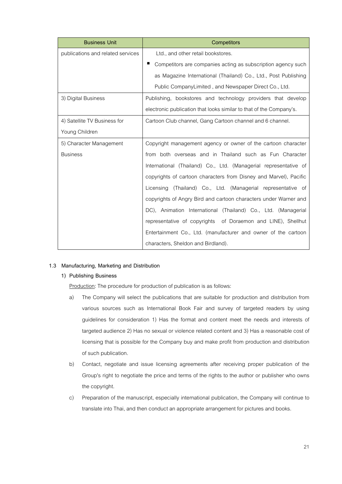| <b>Business Unit</b>              | <b>Competitors</b>                                                  |
|-----------------------------------|---------------------------------------------------------------------|
| publications and related services | Ltd., and other retail bookstores.                                  |
|                                   | Competitors are companies acting as subscription agency such        |
|                                   | as Magazine International (Thailand) Co., Ltd., Post Publishing     |
|                                   | Public CompanyLimited, and Newspaper Direct Co., Ltd.               |
| 3) Digital Business               | Publishing, bookstores and technology providers that develop        |
|                                   | electronic publication that looks similar to that of the Company's. |
| 4) Satellite TV Business for      | Cartoon Club channel, Gang Cartoon channel and 6 channel.           |
| Young Children                    |                                                                     |
| 5) Character Management           | Copyright management agency or owner of the cartoon character       |
| <b>Business</b>                   | from both overseas and in Thailand such as Fun Character            |
|                                   | International (Thailand) Co., Ltd. (Managerial representative of    |
|                                   | copyrights of cartoon characters from Disney and Marvel), Pacific   |
|                                   | Licensing (Thailand) Co., Ltd. (Managerial representative of        |
|                                   | copyrights of Angry Bird and cartoon characters under Warner and    |
|                                   | DC), Animation International (Thailand) Co., Ltd. (Managerial       |
|                                   | representative of copyrights of Doraemon and LINE), Shellhut        |
|                                   | Entertainment Co., Ltd. (manufacturer and owner of the cartoon      |
|                                   | characters, Sheldon and Birdland).                                  |

# **1.3 Manufacturing, Marketing and Distribution**

# **1) Publishing Business**

Production: The procedure for production of publication is as follows:

- a) The Company will select the publications that are suitable for production and distribution from various sources such as International Book Fair and survey of targeted readers by using guidelines for consideration 1) Has the format and content meet the needs and interests of targeted audience 2) Has no sexual or violence related content and 3) Has a reasonable cost of licensing that is possible for the Company buy and make profit from production and distribution of such publication.
- b) Contact, negotiate and issue licensing agreements after receiving proper publication of the Group's right to negotiate the price and terms of the rights to the author or publisher who owns the copyright.
- c) Preparation of the manuscript, especially international publication, the Company will continue to translate into Thai, and then conduct an appropriate arrangement for pictures and books.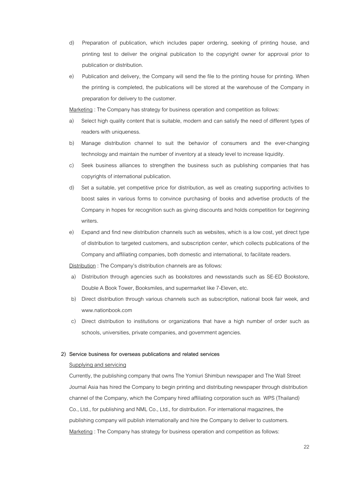- d) Preparation of publication, which includes paper ordering, seeking of printing house, and printing test to deliver the original publication to the copyright owner for approval prior to publication or distribution.
- e) Publication and delivery, the Company will send the file to the printing house for printing. When the printing is completed, the publications will be stored at the warehouse of the Company in preparation for delivery to the customer.

Marketing : The Company has strategy for business operation and competition as follows:

- a) Select high quality content that is suitable, modern and can satisfy the need of different types of readers with uniqueness.
- b) Manage distribution channel to suit the behavior of consumers and the ever-changing technology and maintain the number of inventory at a steady level to increase liquidity.
- c) Seek business alliances to strengthen the business such as publishing companies that has copyrights of international publication.
- d) Set a suitable, yet competitive price for distribution, as well as creating supporting activities to boost sales in various forms to convince purchasing of books and advertise products of the Company in hopes for recognition such as giving discounts and holds competition for beginning writers.
- e) Expand and find new distribution channels such as websites, which is a low cost, yet direct type of distribution to targeted customers, and subscription center, which collects publications of the Company and affiliating companies, both domestic and international, to facilitate readers.

Distribution: The Company's distribution channels are as follows:

- a) Distribution through agencies such as bookstores and newsstands such as SE-ED Bookstore, Double A Book Tower, Booksmiles, and supermarket like 7-Eleven, etc.
- b) Direct distribution through various channels such as subscription, national book fair week, and www.nationbook.com
- c) Direct distribution to institutions or organizations that have a high number of order such as schools, universities, private companies, and government agencies.

#### **2) Service business for overseas publications and related services**

#### Supplying and servicing

Currently, the publishing company that owns The Yomiuri Shimbun newspaper and The Wall Street Journal Asia has hired the Company to begin printing and distributing newspaper through distribution channel of the Company, which the Company hired affiliating corporation such as WPS (Thailand) Co., Ltd., for publishing and NML Co., Ltd., for distribution. For international magazines, the publishing company will publish internationally and hire the Company to deliver to customers. Marketing : The Company has strategy for business operation and competition as follows: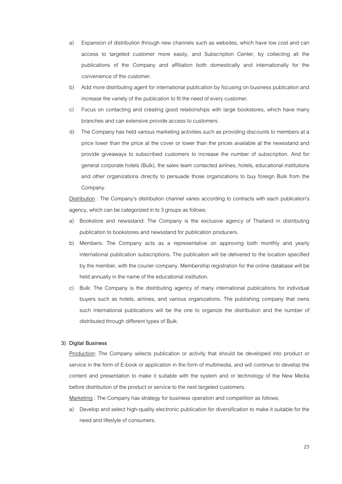- a) Expansion of distribution through new channels such as websites, which have low cost and can access to targeted customer more easily, and Subscription Center, by collecting all the publications of the Company and affiliation both domestically and internationally for the convenience of the customer.
- b) Add more distributing agent for international publication by focusing on business publication and increase the variety of the publication to fit the need of every customer.
- c) Focus on contacting and creating good relationships with large bookstores, which have many branches and can extensive provide access to customers.
- d) The Company has held various marketing activities such as providing discounts to members at a price lower than the price at the cover or lower than the prices available at the newsstand and provide giveaways to subscribed customers to increase the number of subscription. And for general corporate hotels (Bulk), the sales team contacted airlines, hotels, educational institutions and other organizations directly to persuade those organizations to buy foreign Bulk from the Company.

Distribution : The Company's distribution channel varies according to contracts with each publication's agency, which can be categorized in to 3 groups as follows:

- a) Bookstore and newsstand: The Company is the exclusive agency of Thailand in distributing publication to bookstores and newsstand for publication producers.
- b) Members: The Company acts as a representative on approving both monthly and yearly international publication subscriptions. The publication will be delivered to the location specified by the member, with the courier company. Membership registration for the online database will be held annually in the name of the educational institution.
- c) Bulk: The Company is the distributing agency of many international publications for individual buyers such as hotels, airlines, and various organizations. The publishing company that owns such international publications will be the one to organize the distribution and the number of distributed through different types of Bulk.

#### **3) Digital Business**

Production: The Company selects publication or activity that should be developed into product or service in the form of E-book or application in the form of multimedia, and will continue to develop the content and presentation to make it suitable with the system and or technology of the New Media before distribution of the product or service to the next targeted customers.

Marketing : The Company has strategy for business operation and competition as follows:

a) Develop and select high-quality electronic publication for diversification to make it suitable for the need and lifestyle of consumers.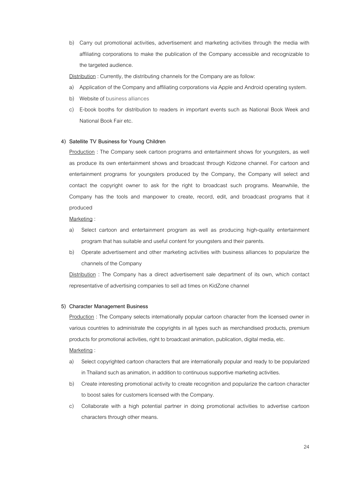b) Carry out promotional activities, advertisement and marketing activities through the media with affiliating corporations to make the publication of the Company accessible and recognizable to the targeted audience.

Distribution : Currently, the distributing channels for the Company are as follow:

- a) Application of the Company and affiliating corporations via Apple and Android operating system.
- b) Website of business alliances
- c) E-book booths for distribution to readers in important events such as National Book Week and National Book Fair etc.

#### **4) Satellite TV Business for Young Children**

Production : The Company seek cartoon programs and entertainment shows for youngsters, as well as produce its own entertainment shows and broadcast through Kidzone channel. For cartoon and entertainment programs for youngsters produced by the Company, the Company will select and contact the copyright owner to ask for the right to broadcast such programs. Meanwhile, the Company has the tools and manpower to create, record, edit, and broadcast programs that it produced

Marketing :

- a) Select cartoon and entertainment program as well as producing high-quality entertainment program that has suitable and useful content for youngsters and their parents.
- b) Operate advertisement and other marketing activities with business alliances to popularize the channels of the Company

Distribution : The Company has a direct advertisement sale department of its own, which contact representative of advertising companies to sell ad times on KidZone channel

#### **5) Character Management Business**

Production : The Company selects internationally popular cartoon character from the licensed owner in various countries to administrate the copyrights in all types such as merchandised products, premium products for promotional activities, right to broadcast animation, publication, digital media, etc. Marketing :

- a) Select copyrighted cartoon characters that are internationally popular and ready to be popularized in Thailand such as animation, in addition to continuous supportive marketing activities.
- b) Create interesting promotional activity to create recognition and popularize the cartoon character to boost sales for customers licensed with the Company.
- c) Collaborate with a high potential partner in doing promotional activities to advertise cartoon characters through other means.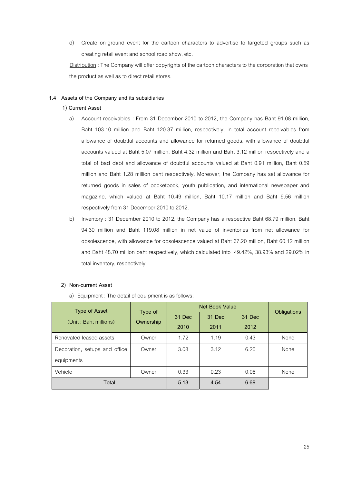d) Create on-ground event for the cartoon characters to advertise to targeted groups such as creating retail event and school road show, etc.

Distribution : The Company will offer copyrights of the cartoon characters to the corporation that owns the product as well as to direct retail stores.

# **1.4 Assets of the Company and its subsidiaries**

# **1) Current Asset**

- a) Account receivables : From 31 December 2010 to 2012, the Company has Baht 91.08 million, Baht 103.10 million and Baht 120.37 million, respectively, in total account receivables from allowance of doubtful accounts and allowance for returned goods, with allowance of doubtful accounts valued at Baht 5.07 million, Baht 4.32 million and Baht 3.12 million respectively and a total of bad debt and allowance of doubtful accounts valued at Baht 0.91 million, Baht 0.59 million and Baht 1.28 million baht respectively. Moreover, the Company has set allowance for returned goods in sales of pocketbook, youth publication, and international newspaper and magazine, which valued at Baht 10.49 million, Baht 10.17 million and Baht 9.56 million respectively from 31 December 2010 to 2012.
- b) Inventory : 31 December 2010 to 2012, the Company has a respective Baht 68.79 million, Baht 94.30 million and Baht 119.08 million in net value of inventories from net allowance for obsolescence, with allowance for obsolescence valued at Baht 67.20 million, Baht 60.12 million and Baht 48.70 million baht respectively, which calculated into 49.42%, 38.93% and 29.02% in total inventory, respectively.

#### **2) Non-current Asset**

a) Equipment : The detail of equipment is as follows:

| Type of Asset                 | Type of   | Net Book Value | Obligations |        |      |
|-------------------------------|-----------|----------------|-------------|--------|------|
| (Unit: Baht millions)         | Ownership | 31 Dec         | 31 Dec      | 31 Dec |      |
|                               |           | 2010           | 2011        | 2012   |      |
| Renovated leased assets       | Owner     | 1.72           | 1.19        | 0.43   | None |
| Decoration, setups and office | Owner     | 3.08           | 3.12        | 6.20   | None |
| equipments                    |           |                |             |        |      |
| Vehicle                       | Owner     | 0.33           | 0.23        | 0.06   | None |
| Total                         |           | 5.13           | 4.54        | 6.69   |      |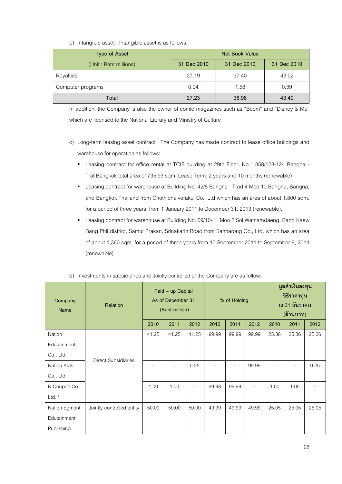| Type of Asset         | Net Book Value |             |             |  |  |
|-----------------------|----------------|-------------|-------------|--|--|
| (Unit: Baht millions) | 31 Dec 2010    | 31 Dec 2010 | 31 Dec 2010 |  |  |
| Royalties             | 27.19          | 37.40       | 43.02       |  |  |
| Computer programs     | 0.04           | 1.58        | 0.39        |  |  |
| Total                 | 27.23          | 38.98       | 43.40       |  |  |

b) Intangible asset : Intangible asset is as follows:

In addition, the Company is also the owner of comic magazines such as "Boom" and "Disney & Me" which are licensed to the National Library and Ministry of Culture

- c) Long-term leasing asset contract : The Company has made contract to lease office buildings and warehouse for operation as follows:
	- Leasing contract for office rental at TCIF building at 29th Floor, No. 1858/123-124 Bangna Trat Bangkok total area of 735.93 sqm. Lease Term: 2 years and 10 months (renewable)
	- **Leasing contract for warehouse at Building No. 42/8 Bangna Trad 4 Moo 10 Bangna, Bangna,** and Bangkok Thailand from Chothichaivorakul Co., Ltd which has an area of about 1,800 sqm. for a period of three years, from 1 January 2011 to December 31, 2013 (renewable).
	- **E** Leasing contract for warehouse at Building No. 69/10-11 Moo 2 Soi Watnamdaeng. Bang Kaew Bang Phli district, Samut Prakan, Srinakarin Road from Sannarong Co., Ltd, which has an area of about 1,360 sqm. for a period of three years from 10 September 2011 to September 9, 2014 (renewable).

| Company<br>Name    | Paid - up Capital<br>As of December 31<br>% of Holding<br>Relation<br>(Baht million) |       |       |       | มูลค่าเงินลงทุน<br>วิธีราคาทุน<br>ณ 31 ธันวาคม<br>(ล้านบาท) |       |          |       |       |       |
|--------------------|--------------------------------------------------------------------------------------|-------|-------|-------|-------------------------------------------------------------|-------|----------|-------|-------|-------|
|                    |                                                                                      | 2010  | 2011  | 2012  | 2010                                                        | 2011  | 2012     | 2010  | 2011  | 2012  |
| Nation             |                                                                                      | 41.25 | 41.25 | 41.25 | 99.99                                                       | 99.99 | 99.99    | 25.36 | 25.36 | 25.36 |
| Edutainment        |                                                                                      |       |       |       |                                                             |       |          |       |       |       |
| Co., Ltd.          | <b>Direct Subsidiaries</b>                                                           |       |       |       |                                                             |       |          |       |       |       |
| <b>Nation Kids</b> |                                                                                      |       | ٠     | 0.25  | $\overline{\phantom{a}}$                                    |       | 99.99    | ۳     |       | 0.25  |
| Co., Ltd.          |                                                                                      |       |       |       |                                                             |       |          |       |       |       |
| N Coupon Co.,      |                                                                                      | 1.00  | 1.00  | ۰     | 99.98                                                       | 99.98 | $\equiv$ | 1.00  | 1.00  |       |
| Ltd. $*$           |                                                                                      |       |       |       |                                                             |       |          |       |       |       |
| Nation Egmont      | Jointly-controlled entity                                                            | 50.00 | 50.00 | 50.00 | 49.99                                                       | 49.99 | 49.99    | 25.05 | 25.05 | 25.05 |
| Edutainment        |                                                                                      |       |       |       |                                                             |       |          |       |       |       |
| Publishing         |                                                                                      |       |       |       |                                                             |       |          |       |       |       |

| d) Investments in subsidiaries and Jointly-controlled of the Company are as follow: |
|-------------------------------------------------------------------------------------|
|-------------------------------------------------------------------------------------|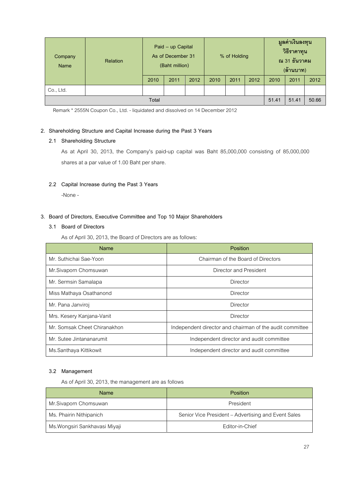| Company<br><b>Name</b> | <b>Relation</b> | Paid - up Capital<br>As of December 31<br>(Baht million) |      |      | % of Holding |      | มูลค่าเงินลงทุน<br>วิธีราคาทุน<br>ณ 31 ธันวาคม<br>(ล้านบาท) |       |       |       |
|------------------------|-----------------|----------------------------------------------------------|------|------|--------------|------|-------------------------------------------------------------|-------|-------|-------|
|                        |                 | 2010                                                     | 2011 | 2012 | 2010         | 2011 | 2012                                                        | 2010  | 2011  | 2012  |
| Co., Ltd.              |                 |                                                          |      |      |              |      |                                                             |       |       |       |
|                        |                 | Total                                                    |      |      |              |      |                                                             | 51.41 | 51.41 | 50.66 |

Remark \* 2555N Coupon Co., Ltd. - liquidated and dissolved on 14 December 2012

# **2. Shareholding Structure and Capital Increase during the Past 3 Years**

#### **2.1 Shareholding Structure**

As at April 30, 2013, the Company's paid-up capital was Baht 85,000,000 consisting of 85,000,000 shares at a par value of 1.00 Baht per share.

# **2.2 Capital Increase during the Past 3 Years**

-None -

# **3. Board of Directors, Executive Committee and Top 10 Major Shareholders**

# **3.1 Board of Directors**

As of April 30, 2013, the Board of Directors are as follows:

| Name                         | Position                                                 |
|------------------------------|----------------------------------------------------------|
| Mr. Suthichai Sae-Yoon       | Chairman of the Board of Directors                       |
| Mr.Sivaporn Chomsuwan        | Director and President                                   |
| Mr. Sermsin Samalapa         | Director                                                 |
| Miss Mathaya Osathanond      | Director                                                 |
| Mr. Pana Janviroj            | Director                                                 |
| Mrs. Kesery Kanjana-Vanit    | Director                                                 |
| Mr. Somsak Cheet Chiranakhon | Independent director and chairman of the audit committee |
| Mr. Sutee Jintananarumit     | Independent director and audit committee                 |
| Ms.Santhaya Kittikowit       | Independent director and audit committee                 |

# **3.2 Management**

As of April 30, 2013, the management are as follows

| Name                           | <b>Position</b>                                     |  |  |  |
|--------------------------------|-----------------------------------------------------|--|--|--|
| Mr.Sivaporn Chomsuwan          | President                                           |  |  |  |
| Ms. Phairin Nithipanich        | Senior Vice President – Advertising and Event Sales |  |  |  |
| Ms. Wongsiri Sankhavasi Miyaji | Editor-in-Chief                                     |  |  |  |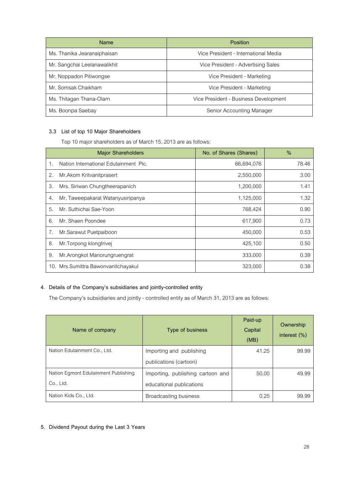| <b>Name</b>                  | Position                              |  |  |
|------------------------------|---------------------------------------|--|--|
| Ms. Thanika Jearanaiphaisan  | Vice President - International Media  |  |  |
| Mr. Sangchai Leelanawalikhit | Vice President - Advertising Sales    |  |  |
| Mr. Noppadon Pitiwongse      | Vice President - Marketing            |  |  |
| Mr. Somsak Chaikham          | Vice President - Marketing            |  |  |
| Ms. Thitagan Thana-Olarn     | Vice President - Business Development |  |  |
| Ms. Boonpa Saebay            | Senior Accounting Manager             |  |  |

# **3.3 List of top 10 Major Shareholders**

Top 10 major shareholders as of March 15, 2013 are as follows:

|    | <b>Major Shareholders</b>             | No. of Shares (Shares) | $\%$  |
|----|---------------------------------------|------------------------|-------|
| 1. | Nation International Edutainment Plc. | 66,694,076             | 78.46 |
| 2. | Mr. Akom Kritvanitprasert             | 2,550,000              | 3.00  |
| 3. | Mrs. Siriwan Chungtheerapanich        | 1,200,000              | 1.41  |
| 4. | Mr. Taweepakarat Watanyusiripanya     | 1,125,000              | 1.32  |
| 5. | Mr. Suthichai Sae-Yoon                | 768,424                | 0.90  |
| 6. | Mr. Shaen Poondee                     | 617,900                | 0.73  |
| 7. | Mr.Sarawut Puetpaiboon                | 450,000                | 0.53  |
| 8. | Mr. Torpong klongtrivej               | 425,100                | 0.50  |
| 9. | Mr.Arongkot Manorungruengrat          | 333,000                | 0.39  |
|    | 10. Mrs.Sumittra Bawonvanitchayakul   | 323,000                | 0.38  |

# **4. Details of the Company's subsidiaries and jointly-controlled entity**

The Company's subsidiaries and jointly - controlled entity as of March 31, 2013 are as follows:

| Name of company                      | Type of business                  | Paid-up<br>Capital<br>(MB) | Ownership<br>interest $(\%)$ |
|--------------------------------------|-----------------------------------|----------------------------|------------------------------|
| Nation Edutainment Co., Ltd.         | Importing and publishing          | 41.25                      | 99.99                        |
|                                      | publications (cartoon)            |                            |                              |
| Nation Egmont Edutainment Publishing | Importing, publishing cartoon and | 50.00                      | 49.99                        |
| Co., Ltd.                            | educational publications          |                            |                              |
| Nation Kids Co., Ltd.                | Broadcasting business             | 0.25                       | 99.99                        |

# **5. Dividend Payout during the Last 3 Years**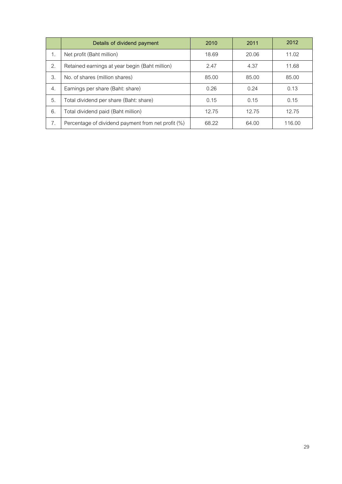|    | Details of dividend payment                        | 2010  | 2011  | 2012   |
|----|----------------------------------------------------|-------|-------|--------|
| 1. | Net profit (Baht million)                          | 18.69 | 20.06 | 11.02  |
| 2. | Retained earnings at year begin (Baht million)     | 2.47  | 4.37  | 11.68  |
| 3. | No. of shares (million shares)                     | 85.00 | 85.00 | 85.00  |
| 4. | Earnings per share (Baht: share)                   | 0.26  | 0.24  | 0.13   |
| 5. | Total dividend per share (Baht: share)             | 0.15  | 0.15  | 0.15   |
| 6. | Total dividend paid (Baht million)                 | 12.75 | 12.75 | 12.75  |
| 7. | Percentage of dividend payment from net profit (%) | 68.22 | 64.00 | 116.00 |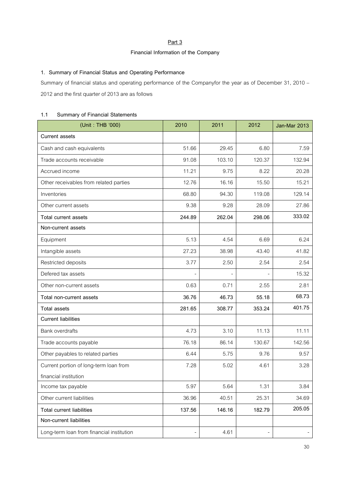# **Part 3**

# **Financial Information of the Company**

# **1. Summary of Financial Status and Operating Performance**

Summary of financial status and operating performance of the Companyfor the year as of December 31, 2010 – 2012 and the first quarter of 2013 are as follows

# **1.1 Summary of Financial Statements**

| (Unit: THB '000)                          | 2010   | 2011   | 2012   | Jan-Mar 2013 |
|-------------------------------------------|--------|--------|--------|--------------|
| <b>Current assets</b>                     |        |        |        |              |
| Cash and cash equivalents                 | 51.66  | 29.45  | 6.80   | 7.59         |
| Trade accounts receivable                 | 91.08  | 103.10 | 120.37 | 132.94       |
| Accrued income                            | 11.21  | 9.75   | 8.22   | 20.28        |
| Other receivables from related parties    | 12.76  | 16.16  | 15.50  | 15.21        |
| Inventories                               | 68.80  | 94.30  | 119.08 | 129.14       |
| Other current assets                      | 9.38   | 9.28   | 28.09  | 27.86        |
| Total current assets                      | 244.89 | 262.04 | 298.06 | 333.02       |
| Non-current assets                        |        |        |        |              |
| Equipment                                 | 5.13   | 4.54   | 6.69   | 6.24         |
| Intangible assets                         | 27.23  | 38.98  | 43.40  | 41.82        |
| Restricted deposits                       | 3.77   | 2.50   | 2.54   | 2.54         |
| Defered tax assets                        |        |        |        | 15.32        |
| Other non-current assets                  | 0.63   | 0.71   | 2.55   | 2.81         |
| Total non-current assets                  | 36.76  | 46.73  | 55.18  | 68.73        |
| <b>Total assets</b>                       | 281.65 | 308.77 | 353.24 | 401.75       |
| <b>Current liabilities</b>                |        |        |        |              |
| <b>Bank overdrafts</b>                    | 4.73   | 3.10   | 11.13  | 11.11        |
| Trade accounts payable                    | 76.18  | 86.14  | 130.67 | 142.56       |
| Other payables to related parties         | 6.44   | 5.75   | 9.76   | 9.57         |
| Current portion of long-term loan from    | 7.28   | 5.02   | 4.61   | 3.28         |
| financial institution                     |        |        |        |              |
| Income tax payable                        | 5.97   | 5.64   | 1.31   | 3.84         |
| Other current liabilities                 | 36.96  | 40.51  | 25.31  | 34.69        |
| <b>Total current liabilities</b>          | 137.56 | 146.16 | 182.79 | 205.05       |
| Non-current liabilities                   |        |        |        |              |
| Long-term loan from financial institution |        | 4.61   |        |              |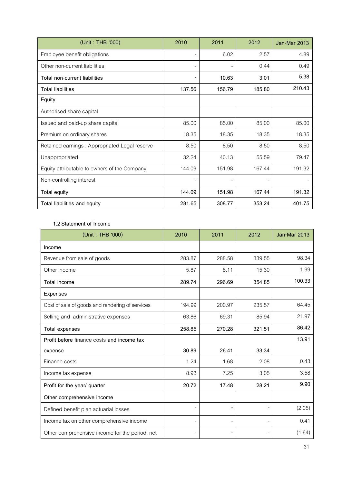| (Unit: THB '000)                              | 2010   | 2011   | 2012   | Jan-Mar 2013 |
|-----------------------------------------------|--------|--------|--------|--------------|
| Employee benefit obligations                  |        | 6.02   | 2.57   | 4.89         |
| Other non-current liabilities                 |        |        | 0.44   | 0.49         |
| Total non-current liabilities                 |        | 10.63  | 3.01   | 5.38         |
| <b>Total liabilities</b>                      | 137.56 | 156.79 | 185.80 | 210.43       |
| Equity                                        |        |        |        |              |
| Authorised share capital                      |        |        |        |              |
| Issued and paid-up share capital              | 85.00  | 85.00  | 85.00  | 85.00        |
| Premium on ordinary shares                    | 18.35  | 18.35  | 18.35  | 18.35        |
| Retained earnings: Appropriated Legal reserve | 8.50   | 8.50   | 8.50   | 8.50         |
| Unappropriated                                | 32.24  | 40.13  | 55.59  | 79.47        |
| Equity attributable to owners of the Company  | 144.09 | 151.98 | 167.44 | 191.32       |
| Non-controlling interest                      |        |        |        |              |
| Total equity                                  | 144.09 | 151.98 | 167.44 | 191.32       |
| Total liabilities and equity                  | 281.65 | 308.77 | 353.24 | 401.75       |

# **1.2 Statement of Income**

| (Unit: THB '000)                                | 2010                     | 2011                     | 2012                     | Jan-Mar 2013 |
|-------------------------------------------------|--------------------------|--------------------------|--------------------------|--------------|
| Income                                          |                          |                          |                          |              |
| Revenue from sale of goods                      | 283.87                   | 288.58                   | 339.55                   | 98.34        |
| Other income                                    | 5.87                     | 8.11                     | 15.30                    | 1.99         |
| Total income                                    | 289.74                   | 296.69                   | 354.85                   | 100.33       |
| Expenses                                        |                          |                          |                          |              |
| Cost of sale of goods and rendering of services | 194.99                   | 200.97                   | 235.57                   | 64.45        |
| Selling and administrative expenses             | 63.86                    | 69.31                    | 85.94                    | 21.97        |
| <b>Total expenses</b>                           | 258.85                   | 270.28                   | 321.51                   | 86.42        |
| Profit before finance costs and income tax      |                          |                          |                          | 13.91        |
| expense                                         | 30.89                    | 26.41                    | 33.34                    |              |
| Finance costs                                   | 1.24                     | 1.68                     | 2.08                     | 0.43         |
| Income tax expense                              | 8.93                     | 7.25                     | 3.05                     | 3.58         |
| Profit for the year/ quarter                    | 20.72                    | 17.48                    | 28.21                    | 9.90         |
| Other comprehensive income                      |                          |                          |                          |              |
| Defined benefit plan actuarial losses           | $\overline{\phantom{a}}$ | $\overline{\phantom{0}}$ | $\overline{\phantom{0}}$ | (2.05)       |
| Income tax on other comprehensive income        | $\overline{\phantom{a}}$ | $\overline{\phantom{a}}$ | $\blacksquare$           | 0.41         |
| Other comprehensive income for the period, net  | $\overline{\phantom{a}}$ | $\overline{\phantom{a}}$ | $\overline{\phantom{a}}$ | (1.64)       |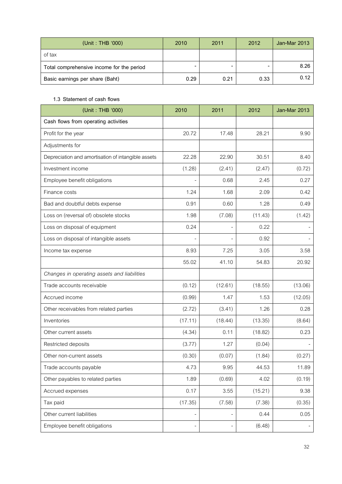| (Unit: THB '000)                          | 2010 | 2011 | 2012 | Jan-Mar 2013 |
|-------------------------------------------|------|------|------|--------------|
| of tax                                    |      |      |      |              |
| Total comprehensive income for the period |      |      |      | 8.26         |
| Basic earnings per share (Baht)           | 0.29 | 0.21 | 0.33 | 0.12         |

# **1.3 Statement of cash flows**

| (Unit: THB '000)                                   | 2010                     | 2011                     | 2012    | Jan-Mar 2013 |
|----------------------------------------------------|--------------------------|--------------------------|---------|--------------|
| Cash flows from operating activities               |                          |                          |         |              |
| Profit for the year                                | 20.72                    | 17.48                    | 28.21   | 9.90         |
| Adjustments for                                    |                          |                          |         |              |
| Depreciation and amortisation of intangible assets | 22.28                    | 22.90                    | 30.51   | 8.40         |
| Investment income                                  | (1.28)                   | (2.41)                   | (2.47)  | (0.72)       |
| Employee benefit obligations                       | $\overline{\phantom{a}}$ | 0.68                     | 2.45    | 0.27         |
| Finance costs                                      | 1.24                     | 1.68                     | 2.09    | 0.42         |
| Bad and doubtful debts expense                     | 0.91                     | 0.60                     | 1.28    | 0.49         |
| Loss on (reversal of) obsolete stocks              | 1.98                     | (7.08)                   | (11.43) | (1.42)       |
| Loss on disposal of equipment                      | 0.24                     |                          | 0.22    |              |
| Loss on disposal of intangible assets              |                          |                          | 0.92    |              |
| Income tax expense                                 | 8.93                     | 7.25                     | 3.05    | 3.58         |
|                                                    | 55.02                    | 41.10                    | 54.83   | 20.92        |
| Changes in operating assets and liabilities        |                          |                          |         |              |
| Trade accounts receivable                          | (0.12)                   | (12.61)                  | (18.55) | (13.06)      |
| Accrued income                                     | (0.99)                   | 1.47                     | 1.53    | (12.05)      |
| Other receivables from related parties             | (2.72)                   | (3.41)                   | 1.26    | 0.28         |
| Inventories                                        | (17.11)                  | (18.44)                  | (13.35) | (8.64)       |
| Other current assets                               | (4.34)                   | 0.11                     | (18.82) | 0.23         |
| Restricted deposits                                | (3.77)                   | 1.27                     | (0.04)  |              |
| Other non-current assets                           | (0.30)                   | (0.07)                   | (1.84)  | (0.27)       |
| Trade accounts payable                             | 4.73                     | 9.95                     | 44.53   | 11.89        |
| Other payables to related parties                  | 1.89                     | (0.69)                   | 4.02    | (0.19)       |
| Accrued expenses                                   | 0.17                     | 3.55                     | (15.21) | 9.38         |
| Tax paid                                           | (17.35)                  | (7.58)                   | (7.38)  | (0.35)       |
| Other current liabilities                          | $\overline{\phantom{0}}$ | $\overline{\phantom{0}}$ | 0.44    | 0.05         |
| Employee benefit obligations                       | $\overline{\phantom{0}}$ |                          | (6.48)  |              |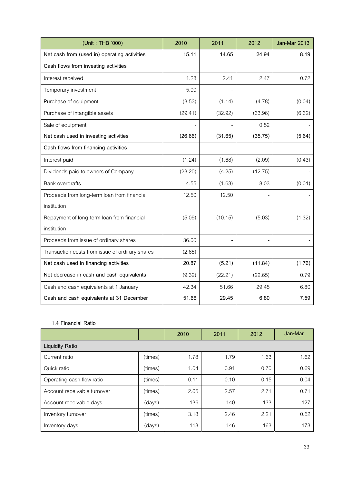| (Unit: THB '000)                                | 2010    | 2011                     | 2012                     | Jan-Mar 2013 |
|-------------------------------------------------|---------|--------------------------|--------------------------|--------------|
| Net cash from (used in) operating activities    | 15.11   | 14.65                    | 24.94                    | 8.19         |
| Cash flows from investing activities            |         |                          |                          |              |
| Interest received                               | 1.28    | 2.41                     | 2.47                     | 0.72         |
| Temporary investment                            | 5.00    |                          |                          |              |
| Purchase of equipment                           | (3.53)  | (1.14)                   | (4.78)                   | (0.04)       |
| Purchase of intangible assets                   | (29.41) | (32.92)                  | (33.96)                  | (6.32)       |
| Sale of equipment                               |         |                          | 0.52                     |              |
| Net cash used in investing activities           | (26.66) | (31.65)                  | (35.75)                  | (5.64)       |
| Cash flows from financing activities            |         |                          |                          |              |
| Interest paid                                   | (1.24)  | (1.68)                   | (2.09)                   | (0.43)       |
| Dividends paid to owners of Company             | (23.20) | (4.25)                   | (12.75)                  |              |
| <b>Bank overdrafts</b>                          | 4.55    | (1.63)                   | 8.03                     | (0.01)       |
| Proceeds from long-term loan from financial     | 12.50   | 12.50                    |                          |              |
| institution                                     |         |                          |                          |              |
| Repayment of long-term loan from financial      | (5.09)  | (10.15)                  | (5.03)                   | (1.32)       |
| institution                                     |         |                          |                          |              |
| Proceeds from issue of ordinary shares          | 36.00   | $\overline{\phantom{a}}$ | $\overline{\phantom{a}}$ |              |
| Transaction costs from issue of ordirary shares | (2.65)  |                          |                          |              |
| Net cash used in financing activities           | 20.87   | (5.21)                   | (11.84)                  | (1.76)       |
| Net decrease in cash and cash equivalents       | (9.32)  | (22.21)                  | (22.65)                  | 0.79         |
| Cash and cash equivalents at 1 January          | 42.34   | 51.66                    | 29.45                    | 6.80         |
| Cash and cash equivalents at 31 December        | 51.66   | 29.45                    | 6.80                     | 7.59         |

# **1.4 Financial Ratio**

|                             |         | 2010 | 2011 | 2012 | Jan-Mar |
|-----------------------------|---------|------|------|------|---------|
| <b>Liquidity Ratio</b>      |         |      |      |      |         |
| Current ratio               | (times) | 1.78 | 1.79 | 1.63 | 1.62    |
| Quick ratio                 | (times) | 1.04 | 0.91 | 0.70 | 0.69    |
| Operating cash flow ratio   | (times) | 0.11 | 0.10 | 0.15 | 0.04    |
| Account receivable turnover | (times) | 2.65 | 2.57 | 2.71 | 0.71    |
| Account receivable days     | (days)  | 136  | 140  | 133  | 127     |
| Inventory turnover          | (times) | 3.18 | 2.46 | 2.21 | 0.52    |
| Inventory days              | (days)  | 113  | 146  | 163  | 173     |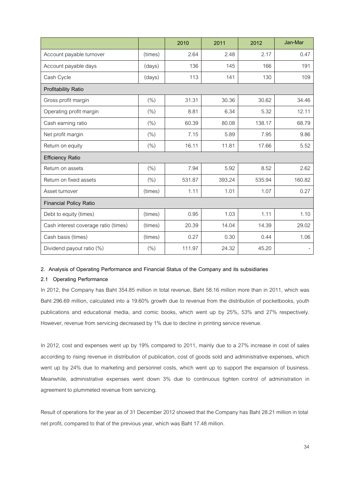|                                      |         | 2010   | 2011   | 2012   | Jan-Mar |
|--------------------------------------|---------|--------|--------|--------|---------|
| Account payable turnover             | (times) | 2.64   | 2.48   | 2.17   | 0.47    |
| Account payable days                 | (days)  | 136    | 145    | 166    | 191     |
| Cash Cycle                           | (days)  | 113    | 141    | 130    | 109     |
| Profitability Ratio                  |         |        |        |        |         |
| Gross profit margin                  | (%)     | 31.31  | 30.36  | 30.62  | 34.46   |
| Operating profit margin              | (%)     | 8.81   | 6.34   | 5.32   | 12.11   |
| Cash earning ratio                   | (%)     | 60.39  | 80.08  | 138.17 | 68.79   |
| Net profit margin                    | (%)     | 7.15   | 5.89   | 7.95   | 9.86    |
| Return on equity                     | (%)     | 16.11  | 11.81  | 17.66  | 5.52    |
| <b>Efficiency Ratio</b>              |         |        |        |        |         |
| Return on assets                     | (%)     | 7.94   | 5.92   | 8.52   | 2.62    |
| Return on fixed assets               | (% )    | 531.87 | 393.24 | 535.94 | 160.82  |
| Asset turnover                       | (times) | 1.11   | 1.01   | 1.07   | 0.27    |
| <b>Financial Policy Ratio</b>        |         |        |        |        |         |
| Debt to equity (times)               | (times) | 0.95   | 1.03   | 1.11   | 1.10    |
| Cash interest coverage ratio (times) | (times) | 20.39  | 14.04  | 14.39  | 29.02   |
| Cash basis (times)                   | (times) | 0.27   | 0.30   | 0.44   | 1.06    |
| Dividend payout ratio (%)            | (%)     | 111.97 | 24.32  | 45.20  |         |

#### **2. Analysis of Operating Performance and Financial Status of the Company and its subsidiaries**

#### **2.1 Operating Performance**

In 2012, the Company has Baht 354.85 million in total revenue, Baht 58.16 million more than in 2011, which was Baht 296.69 million, calculated into a 19.60% growth due to revenue from the distribution of pocketbooks, youth publications and educational media, and comic books, which went up by 25%, 53% and 27% respectively. However, revenue from servicing decreased by 1% due to decline in printing service revenue.

In 2012, cost and expenses went up by 19% compared to 2011, mainly due to a 27% increase in cost of sales according to rising revenue in distribution of publication, cost of goods sold and administrative expenses, which went up by 24% due to marketing and personnel costs, which went up to support the expansion of business. Meanwhile, administrative expenses went down 3% due to continuous tighten control of administration in agreement to plummeted revenue from servicing.

Result of operations for the year as of 31 December 2012 showed that the Company has Baht 28.21 million in total net profit, compared to that of the previous year, which was Baht 17.48 million.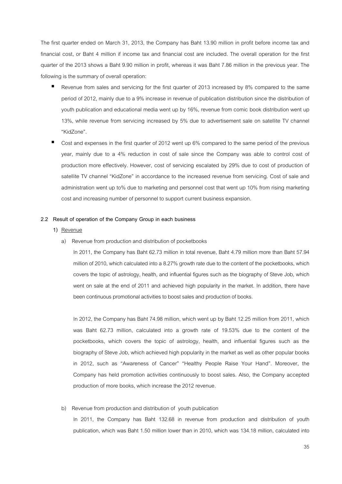The first quarter ended on March 31, 2013, the Company has Baht 13.90 million in profit before income tax and financial cost, or Baht 4 million if income tax and financial cost are included. The overall operation for the first quarter of the 2013 shows a Baht 9.90 million in profit, whereas it was Baht 7.86 million in the previous year. The following is the summary of overall operation:

- Revenue from sales and servicing for the first quarter of 2013 increased by 8% compared to the same period of 2012, mainly due to a 9% increase in revenue of publication distribution since the distribution of youth publication and educational media went up by 16%, revenue from comic book distribution went up 13%, while revenue from servicing increased by 5% due to advertisement sale on satellite TV channel "KidZone".
- Cost and expenses in the first quarter of 2012 went up 6% compared to the same period of the previous year, mainly due to a 4% reduction in cost of sale since the Company was able to control cost of production more effectively. However, cost of servicing escalated by 29% due to cost of production of satellite TV channel "KidZone" in accordance to the increased revenue from servicing. Cost of sale and administration went up to% due to marketing and personnel cost that went up 10% from rising marketing cost and increasing number of personnel to support current business expansion.

#### **2.2 Result of operation of the Company Group in each business**

- **1)** Revenue
	- a) Revenue from production and distribution of pocketbooks

In 2011, the Company has Baht 62.73 million in total revenue, Baht 4.79 million more than Baht 57.94 million of 2010, which calculated into a 8.27% growth rate due to the content of the pocketbooks, which covers the topic of astrology, health, and influential figures such as the biography of Steve Job, which went on sale at the end of 2011 and achieved high popularity in the market. In addition, there have been continuous promotional activities to boost sales and production of books.

In 2012, the Company has Baht 74.98 million, which went up by Baht 12.25 million from 2011, which was Baht 62.73 million, calculated into a growth rate of 19.53% due to the content of the pocketbooks, which covers the topic of astrology, health, and influential figures such as the biography of Steve Job, which achieved high popularity in the market as well as other popular books in 2012, such as "Awareness of Cancer" "Healthy People Raise Your Hand". Moreover, the Company has held promotion activities continuously to boost sales. Also, the Company accepted production of more books, which increase the 2012 revenue.

#### b) Revenue from production and distribution of youth publication

In 2011, the Company has Baht 132.68 in revenue from production and distribution of youth publication, which was Baht 1.50 million lower than in 2010, which was 134.18 million, calculated into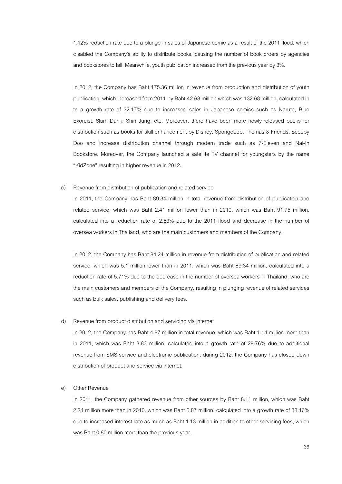1.12% reduction rate due to a plunge in sales of Japanese comic as a result of the 2011 flood, which disabled the Company's ability to distribute books, causing the number of book orders by agencies and bookstores to fall. Meanwhile, youth publication increased from the previous year by 3%.

In 2012, the Company has Baht 175.36 million in revenue from production and distribution of youth publication, which increased from 2011 by Baht 42.68 million which was 132.68 million, calculated in to a growth rate of 32.17% due to increased sales in Japanese comics such as Naruto, Blue Exorcist, Slam Dunk, Shin Jung, etc. Moreover, there have been more newly-released books for distribution such as books for skill enhancement by Disney, Spongebob, Thomas & Friends, Scooby Doo and increase distribution channel through modern trade such as 7-Eleven and Nai-In Bookstore. Moreover, the Company launched a satellite TV channel for youngsters by the name "KidZone" resulting in higher revenue in 2012.

#### c) Revenue from distribution of publication and related service

In 2011, the Company has Baht 89.34 million in total revenue from distribution of publication and related service, which was Baht 2.41 million lower than in 2010, which was Baht 91.75 million, calculated into a reduction rate of 2.63% due to the 2011 flood and decrease in the number of oversea workers in Thailand, who are the main customers and members of the Company.

In 2012, the Company has Baht 84.24 million in revenue from distribution of publication and related service, which was 5.1 million lower than in 2011, which was Baht 89.34 million, calculated into a reduction rate of 5.71% due to the decrease in the number of oversea workers in Thailand, who are the main customers and members of the Company, resulting in plunging revenue of related services such as bulk sales, publishing and delivery fees.

#### d) Revenue from product distribution and servicing via internet

In 2012, the Company has Baht 4.97 million in total revenue, which was Baht 1.14 million more than in 2011, which was Baht 3.83 million, calculated into a growth rate of 29.76% due to additional revenue from SMS service and electronic publication, during 2012, the Company has closed down distribution of product and service via internet.

#### e) Other Revenue

In 2011, the Company gathered revenue from other sources by Baht 8.11 million, which was Baht 2.24 million more than in 2010, which was Baht 5.87 million, calculated into a growth rate of 38.16% due to increased interest rate as much as Baht 1.13 million in addition to other servicing fees, which was Baht 0.80 million more than the previous year.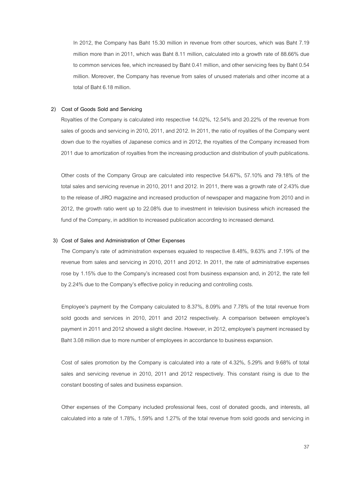In 2012, the Company has Baht 15.30 million in revenue from other sources, which was Baht 7.19 million more than in 2011, which was Baht 8.11 million, calculated into a growth rate of 88.66% due to common services fee, which increased by Baht 0.41 million, and other servicing fees by Baht 0.54 million. Moreover, the Company has revenue from sales of unused materials and other income at a total of Baht 6.18 million.

#### **2) Cost of Goods Sold and Servicing**

Royalties of the Company is calculated into respective 14.02%, 12.54% and 20.22% of the revenue from sales of goods and servicing in 2010, 2011, and 2012. In 2011, the ratio of royalties of the Company went down due to the royalties of Japanese comics and in 2012, the royalties of the Company increased from 2011 due to amortization of royalties from the increasing production and distribution of youth publications.

Other costs of the Company Group are calculated into respective 54.67%, 57.10% and 79.18% of the total sales and servicing revenue in 2010, 2011 and 2012. In 2011, there was a growth rate of 2.43% due to the release of JIRO magazine and increased production of newspaper and magazine from 2010 and in 2012, the growth ratio went up to 22.08% due to investment in television business which increased the fund of the Company, in addition to increased publication according to increased demand.

#### **3) Cost of Sales and Administration of Other Expenses**

The Company's rate of administration expenses equaled to respective 8.48%, 9.63% and 7.19% of the revenue from sales and servicing in 2010, 2011 and 2012. In 2011, the rate of administrative expenses rose by 1.15% due to the Company's increased cost from business expansion and, in 2012, the rate fell by 2.24% due to the Company's effective policy in reducing and controlling costs.

Employee's payment by the Company calculated to 8.37%, 8.09% and 7.78% of the total revenue from sold goods and services in 2010, 2011 and 2012 respectively. A comparison between employee's payment in 2011 and 2012 showed a slight decline. However, in 2012, employee's payment increased by Baht 3.08 million due to more number of employees in accordance to business expansion.

Cost of sales promotion by the Company is calculated into a rate of 4.32%, 5.29% and 9.68% of total sales and servicing revenue in 2010, 2011 and 2012 respectively. This constant rising is due to the constant boosting of sales and business expansion.

Other expenses of the Company included professional fees, cost of donated goods, and interests, all calculated into a rate of 1.78%, 1.59% and 1.27% of the total revenue from sold goods and servicing in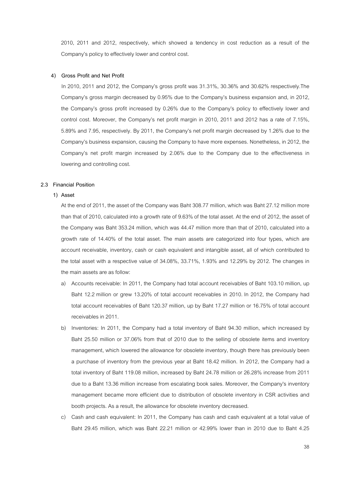2010, 2011 and 2012, respectively, which showed a tendency in cost reduction as a result of the Company's policy to effectively lower and control cost.

#### **4) Gross Profit and Net Profit**

In 2010, 2011 and 2012, the Company's gross profit was 31.31%, 30.36% and 30.62% respectively.The Company's gross margin decreased by 0.95% due to the Company's business expansion and, in 2012, the Company's gross profit increased by 0.26% due to the Company's policy to effectively lower and control cost. Moreover, the Company's net profit margin in 2010, 2011 and 2012 has a rate of 7.15%, 5.89% and 7.95, respectively. By 2011, the Company's net profit margin decreased by 1.26% due to the Company's business expansion, causing the Company to have more expenses. Nonetheless, in 2012, the Company's net profit margin increased by 2.06% due to the Company due to the effectiveness in lowering and controlling cost.

#### **2.3 Financial Position**

#### **1) Asset**

At the end of 2011, the asset of the Company was Baht 308.77 million, which was Baht 27.12 million more than that of 2010, calculated into a growth rate of 9.63% of the total asset. At the end of 2012, the asset of the Company was Baht 353.24 million, which was 44.47 million more than that of 2010, calculated into a growth rate of 14.40% of the total asset. The main assets are categorized into four types, which are account receivable, inventory, cash or cash equivalent and intangible asset, all of which contributed to the total asset with a respective value of 34.08%, 33.71%, 1.93% and 12.29% by 2012. The changes in the main assets are as follow:

- a) Accounts receivable: In 2011, the Company had total account receivables of Baht 103.10 million, up Baht 12.2 million or grew 13.20% of total account receivables in 2010. In 2012, the Company had total account receivables of Baht 120.37 million, up by Baht 17.27 million or 16.75% of total account receivables in 2011.
- b) Inventories: In 2011, the Company had a total inventory of Baht 94.30 million, which increased by Baht 25.50 million or 37.06% from that of 2010 due to the selling of obsolete items and inventory management, which lowered the allowance for obsolete inventory, though there has previously been a purchase of inventory from the previous year at Baht 18.42 million. In 2012, the Company had a total inventory of Baht 119.08 million, increased by Baht 24.78 million or 26.28% increase from 2011 due to a Baht 13.36 million increase from escalating book sales. Moreover, the Company's inventory management became more efficient due to distribution of obsolete inventory in CSR activities and booth projects. As a result, the allowance for obsolete inventory decreased.
- c) Cash and cash equivalent: In 2011, the Company has cash and cash equivalent at a total value of Baht 29.45 million, which was Baht 22.21 million or 42.99% lower than in 2010 due to Baht 4.25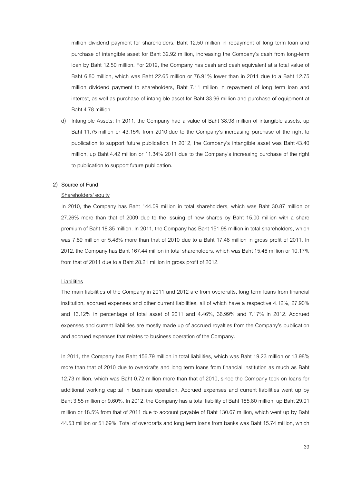million dividend payment for shareholders, Baht 12.50 million in repayment of long term loan and purchase of intangible asset for Baht 32.92 million, increasing the Company's cash from long-term loan by Baht 12.50 million. For 2012, the Company has cash and cash equivalent at a total value of Baht 6.80 million, which was Baht 22.65 million or 76.91% lower than in 2011 due to a Baht 12.75 million dividend payment to shareholders, Baht 7.11 million in repayment of long term loan and interest, as well as purchase of intangible asset for Baht 33.96 million and purchase of equipment at Baht 4.78 million.

Intangible Assets: In 2011, the Company had a value of Baht 38.98 million of intangible assets, up Baht 11.75 million or 43.15% from 2010 due to the Company's increasing purchase of the right to publication to support future publication. In 2012, the Company's intangible asset was Baht 43.40 million, up Baht 4.42 million or 11.34% 2011 due to the Company's increasing purchase of the right to publication to support future publication.

#### **2) Source of Fund**

#### Shareholders' equity

In 2010, the Company has Baht 144.09 million in total shareholders, which was Baht 30.87 million or 27.26% more than that of 2009 due to the issuing of new shares by Baht 15.00 million with a share premium of Baht 18.35 million. In 2011, the Company has Baht 151.98 million in total shareholders, which was 7.89 million or 5.48% more than that of 2010 due to a Baht 17.48 million in gross profit of 2011. In 2012, the Company has Baht 167.44 million in total shareholders, which was Baht 15.46 million or 10.17% from that of 2011 due to a Baht 28.21 million in gross profit of 2012.

#### **Liabilities**

 The main liabilities of the Company in 2011 and 2012 are from overdrafts, long term loans from financial institution, accrued expenses and other current liabilities, all of which have a respective 4.12%, 27.90% and 13.12% in percentage of total asset of 2011 and 4.46%, 36.99% and 7.17% in 2012. Accrued expenses and current liabilities are mostly made up of accrued royalties from the Company's publication and accrued expenses that relates to business operation of the Company.

In 2011, the Company has Baht 156.79 million in total liabilities, which was Baht 19.23 million or 13.98% more than that of 2010 due to overdrafts and long term loans from financial institution as much as Baht 12.73 million, which was Baht 0.72 million more than that of 2010, since the Company took on loans for additional working capital in business operation. Accrued expenses and current liabilities went up by Baht 3.55 million or 9.60%. In 2012, the Company has a total liability of Baht 185.80 million, up Baht 29.01 million or 18.5% from that of 2011 due to account payable of Baht 130.67 million, which went up by Baht 44.53 million or 51.69%. Total of overdrafts and long term loans from banks was Baht 15.74 million, which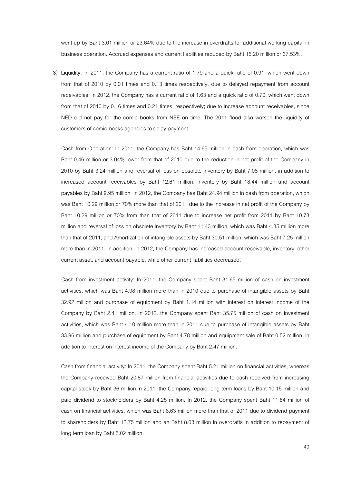went up by Baht 3.01 million or 23.64% due to the increase in overdrafts for additional working capital in business operation. Accrued expenses and current liabilities reduced by Baht 15.20 million or 37.53%.

**3) Liquidity:** In 2011, the Company has a current ratio of 1.79 and a quick ratio of 0.91, which went down from that of 2010 by 0.01 times and 0.13 times respectively, due to delayed repayment from account receivables. In 2012, the Company has a current ratio of 1.63 and a quick ratio of 0.70, which went down from that of 2010 by 0.16 times and 0.21 times, respectively; due to increase account receivables, since NED did not pay for the comic books from NEE on time. The 2011 flood also worsen the liquidity of customers of comic books agencies to delay payment.

Cash from Operation: In 2011, the Company has Baht 14.65 million in cash from operation, which was Baht 0.46 million or 3.04% lower from that of 2010 due to the reduction in net profit of the Company in 2010 by Baht 3.24 million and reversal of loss on obsolete inventory by Baht 7.08 million, in addition to increased account receivables by Baht 12.61 million, inventory by Baht 18.44 million and account payables by Baht 9.95 million. In 2012, the Company has Baht 24.94 million in cash from operation, which was Baht 10.29 million or 70% more than that of 2011 due to the increase in net profit of the Company by Baht 10.29 million or 70% from than that of 2011 due to increase net profit from 2011 by Baht 10.73 million and reversal of loss on obsolete inventory by Baht 11.43 million, which was Baht 4.35 million more than that of 2011, and Amortization of intangible assets by Baht 30.51 million, which was Baht 7.25 million more than in 2011. In addition, in 2012, the Company has increased account receivable, inventory, other current asset, and account payable, while other current liabilities decreased.

 Cash from investment activity: In 2011, the Company spent Baht 31.65 million of cash on investment activities, which was Baht 4.98 million more than in 2010 due to purchase of intangible assets by Baht 32.92 million and purchase of equipment by Baht 1.14 million with interest on interest income of the Company by Baht 2.41 million. In 2012, the Company spent Baht 35.75 million of cash on investment activities, which was Baht 4.10 million more than in 2011 due to purchase of intangible assets by Baht 33.96 million and purchase of equipment by Baht 4.78 million and equipment sale of Baht 0.52 million, in addition to interest on interest income of the Company by Baht 2.47 million.

Cash from financial activity: In 2011, the Company spent Baht 5.21 million on financial activities, whereas the Company received Baht 20.87 million from financial activities due to cash received from increasing capital stock by Baht 36 million.In 2011, the Company repaid long term loans by Baht 10.15 million and paid dividend to stockholders by Baht 4.25 million. In 2012, the Company spent Baht 11.84 million of cash on financial activities, which was Baht 6.63 million more than that of 2011 due to dividend payment to shareholders by Baht 12.75 million and an Baht 8.03 million in overdrafts in addition to repayment of long term loan by Baht 5.02 million.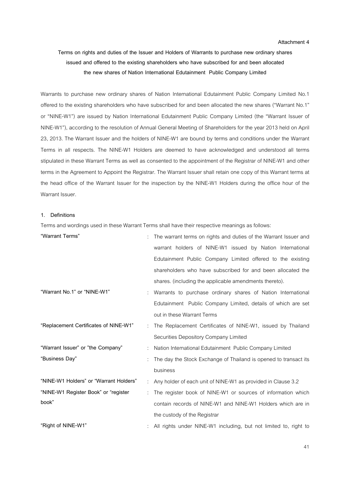#### **Attachment 4**

# **Terms on rights and duties of the Issuer and Holders of Warrants to purchase new ordinary shares issued and offered to the existing shareholders who have subscribed for and been allocated the new shares of Nation International Edutainment Public Company Limited**

Warrants to purchase new ordinary shares of Nation International Edutainment Public Company Limited No.1 offered to the existing shareholders who have subscribed for and been allocated the new shares ("Warrant No.1" or "NINE-W1") are issued by Nation International Edutainment Public Company Limited (the "Warrant Issuer of NINE-W1"), according to the resolution of Annual General Meeting of Shareholders for the year 2013 held on April 23, 2013. The Warrant Issuer and the holders of NINE-W1 are bound by terms and conditions under the Warrant Terms in all respects. The NINE-W1 Holders are deemed to have acknowledged and understood all terms stipulated in these Warrant Terms as well as consented to the appointment of the Registrar of NINE-W1 and other terms in the Agreement to Appoint the Registrar. The Warrant Issuer shall retain one copy of this Warrant terms at the head office of the Warrant Issuer for the inspection by the NINE-W1 Holders during the office hour of the Warrant Issuer

#### **1. Definitions**

Terms and wordings used in these Warrant Terms shall have their respective meanings as follows:

| "Warrant Terms"                        | The warrant terms on rights and duties of the Warrant Issuer and |
|----------------------------------------|------------------------------------------------------------------|
|                                        | warrant holders of NINE-W1 issued by Nation International        |
|                                        | Edutainment Public Company Limited offered to the existing       |
|                                        | shareholders who have subscribed for and been allocated the      |
|                                        | shares. (including the applicable amendments thereto).           |
| "Warrant No.1" or "NINE-W1"            | Warrants to purchase ordinary shares of Nation International     |
|                                        | Edutainment Public Company Limited, details of which are set     |
|                                        | out in these Warrant Terms                                       |
| "Replacement Certificates of NINE-W1"  | The Replacement Certificates of NINE-W1, issued by Thailand      |
|                                        | Securities Depository Company Limited                            |
| "Warrant Issuer" or "the Company"      | Nation International Edutainment Public Company Limited          |
| "Business Day"                         | The day the Stock Exchange of Thailand is opened to transact its |
|                                        | business                                                         |
| "NINE-W1 Holders" or "Warrant Holders" | Any holder of each unit of NINE-W1 as provided in Clause 3.2     |
| "NINE-W1 Register Book" or "register   | The register book of NINE-W1 or sources of information which     |
| book"                                  | contain records of NINE-W1 and NINE-W1 Holders which are in      |
|                                        | the custody of the Registrar                                     |
| "Right of NINE-W1"                     | All rights under NINE-W1 including, but not limited to, right to |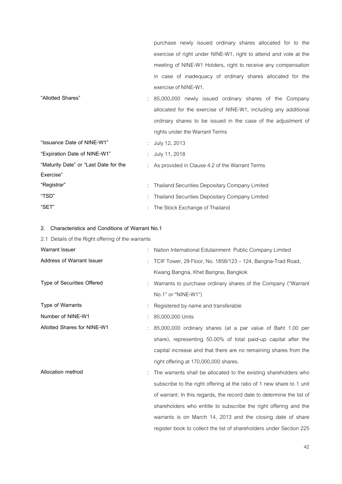purchase newly issued ordinary shares allocated for to the exercise of right under NINE-W1, right to attend and vote at the meeting of NINE-W1 Holders, right to receive any compensation in case of inadequacy of ordinary shares allocated for the exercise of NINE-W1. **"Allotted Shares"** : 85,000,000 newly issued ordinary shares of the Company allocated for the exercise of NINE-W1, including any additional ordinary shares to be issued in the case of the adjustment of rights under the Warrant Terms **"Issuance Date of NINE-W1"** : July 12, 2013 **"Expiration Date of NINE-W1"** : July 11, 2018 **"Maturity Date" or "Last Date for the Exercise"**  : As provided in Clause 4.2 of the Warrant Terms **"Registrar"** : Thailand Securities Depositary Company Limited **"TSD"** : Thailand Securities Depositary Company Limited

#### **2. Characteristics and Conditions of Warrant No.1**

**"SET"** : The Stock Exchange of Thailand

| 2.1 Details of the Right offering of the warrants |                                                                       |
|---------------------------------------------------|-----------------------------------------------------------------------|
| <b>Warrant Issuer</b>                             | Nation International Edutainment Public Company Limited               |
| Address of Warrant Issuer                         | TCIF Tower, 29 Floor, No. 1858/123 - 124, Bangna-Trad Road,           |
|                                                   | Kwang Bangna, Khet Bangna, Bangkok                                    |
| Type of Securities Offered                        | Warrants to purchase ordinary shares of the Company ("Warrant"        |
|                                                   | No.1" or "NINE-W1")                                                   |
| Type of Warrants                                  | Registered by name and transferable                                   |
| Number of NINE-W1                                 | 85,000,000 Units                                                      |
| <b>Allotted Shares for NINE-W1</b>                | 85,000,000 ordinary shares (at a par value of Baht 1.00 per           |
|                                                   | share), representing 50.00% of total paid-up capital after the        |
|                                                   | capital increase and that there are no remaining shares from the      |
|                                                   | right offering at 170,000,000 shares.                                 |
| Allocation method                                 | The warrants shall be allocated to the existing shareholders who      |
|                                                   | subscribe to the right offering at the ratio of 1 new share to 1 unit |
|                                                   | of warrant. In this regards, the record date to determine the list of |
|                                                   | shareholders who entitle to subscribe the right offering and the      |
|                                                   | warrants is on March 14, 2013 and the closing date of share           |
|                                                   | register book to collect the list of shareholders under Section 225   |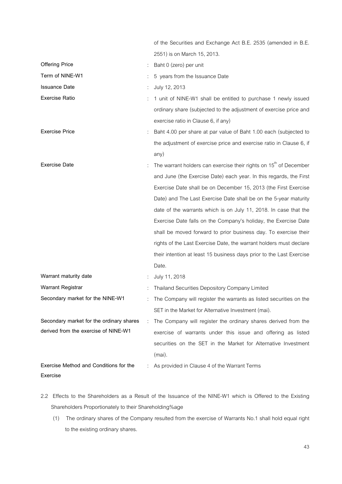|                                          |   | of the Securities and Exchange Act B.E. 2535 (amended in B.E.        |
|------------------------------------------|---|----------------------------------------------------------------------|
|                                          |   | 2551) is on March 15, 2013.                                          |
| <b>Offering Price</b>                    |   | Baht 0 (zero) per unit                                               |
| Term of NINE-W1                          |   | 5 years from the Issuance Date                                       |
| <b>Issuance Date</b>                     |   | July 12, 2013                                                        |
| <b>Exercise Ratio</b>                    |   | 1 unit of NINE-W1 shall be entitled to purchase 1 newly issued       |
|                                          |   | ordinary share (subjected to the adjustment of exercise price and    |
|                                          |   | exercise ratio in Clause 6, if any)                                  |
| <b>Exercise Price</b>                    |   | Baht 4.00 per share at par value of Baht 1.00 each (subjected to     |
|                                          |   | the adjustment of exercise price and exercise ratio in Clause 6, if  |
|                                          |   | any)                                                                 |
| <b>Exercise Date</b>                     |   | The warrant holders can exercise their rights on $15th$ of December  |
|                                          |   | and June (the Exercise Date) each year. In this regards, the First   |
|                                          |   | Exercise Date shall be on December 15, 2013 (the First Exercise      |
|                                          |   | Date) and The Last Exercise Date shall be on the 5-year maturity     |
|                                          |   | date of the warrants which is on July 11, 2018. In case that the     |
|                                          |   | Exercise Date falls on the Company's holiday, the Exercise Date      |
|                                          |   | shall be moved forward to prior business day. To exercise their      |
|                                          |   | rights of the Last Exercise Date, the warrant holders must declare   |
|                                          |   | their intention at least 15 business days prior to the Last Exercise |
|                                          |   | Date.                                                                |
| Warrant maturity date                    |   | July 11, 2018                                                        |
| <b>Warrant Registrar</b>                 |   | Thailand Securities Depository Company Limited                       |
| Secondary market for the NINE-W1         |   | The Company will register the warrants as listed securities on the   |
|                                          |   | SET in the Market for Alternative Investment (mai).                  |
| Secondary market for the ordinary shares | ÷ | The Company will register the ordinary shares derived from the       |
| derived from the exercise of NINE-W1     |   | exercise of warrants under this issue and offering as listed         |
|                                          |   | securities on the SET in the Market for Alternative Investment       |
|                                          |   | (mai).                                                               |
| Exercise Method and Conditions for the   |   | As provided in Clause 4 of the Warrant Terms                         |
| Exercise                                 |   |                                                                      |

- 2.2 Effects to the Shareholders as a Result of the Issuance of the NINE-W1 which is Offered to the Existing Shareholders Proportionately to their Shareholding%age
	- (1) The ordinary shares of the Company resulted from the exercise of Warrants No.1 shall hold equal right to the existing ordinary shares.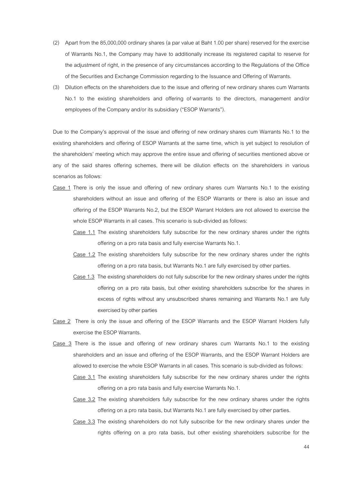- (2) Apart from the 85,000,000 ordinary shares (a par value at Baht 1.00 per share) reserved for the exercise of Warrants No.1, the Company may have to additionally increase its registered capital to reserve for the adjustment of right, in the presence of any circumstances according to the Regulations of the Office of the Securities and Exchange Commission regarding to the Issuance and Offering of Warrants.
- (3) Dilution effects on the shareholders due to the issue and offering of new ordinary shares cum Warrants No.1 to the existing shareholders and offering of warrants to the directors, management and/or employees of the Company and/or its subsidiary ("ESOP Warrants").

Due to the Company's approval of the issue and offering of new ordinary shares cum Warrants No.1 to the existing shareholders and offering of ESOP Warrants at the same time, which is yet subject to resolution of the shareholders' meeting which may approve the entire issue and offering of securities mentioned above or any of the said shares offering schemes, there will be dilution effects on the shareholders in various scenarios as follows:

- Case 1 There is only the issue and offering of new ordinary shares cum Warrants No.1 to the existing shareholders without an issue and offering of the ESOP Warrants or there is also an issue and offering of the ESOP Warrants No.2, but the ESOP Warrant Holders are not allowed to exercise the whole ESOP Warrants in all cases. This scenario is sub-divided as follows:
	- Case 1.1 The existing shareholders fully subscribe for the new ordinary shares under the rights offering on a pro rata basis and fully exercise Warrants No.1.
	- Case 1.2 The existing shareholders fully subscribe for the new ordinary shares under the rights offering on a pro rata basis, but Warrants No.1 are fully exercised by other parties.
	- Case 1.3 The existing shareholders do not fully subscribe for the new ordinary shares under the rights offering on a pro rata basis, but other existing shareholders subscribe for the shares in excess of rights without any unsubscribed shares remaining and Warrants No.1 are fully exercised by other parties
- Case 2 There is only the issue and offering of the ESOP Warrants and the ESOP Warrant Holders fully exercise the ESOP Warrants.
- Case 3 There is the issue and offering of new ordinary shares cum Warrants No.1 to the existing shareholders and an issue and offering of the ESOP Warrants, and the ESOP Warrant Holders are allowed to exercise the whole ESOP Warrants in all cases. This scenario is sub-divided as follows:
	- Case 3.1 The existing shareholders fully subscribe for the new ordinary shares under the rights offering on a pro rata basis and fully exercise Warrants No.1.
	- Case 3.2 The existing shareholders fully subscribe for the new ordinary shares under the rights offering on a pro rata basis, but Warrants No.1 are fully exercised by other parties.
	- Case 3.3 The existing shareholders do not fully subscribe for the new ordinary shares under the rights offering on a pro rata basis, but other existing shareholders subscribe for the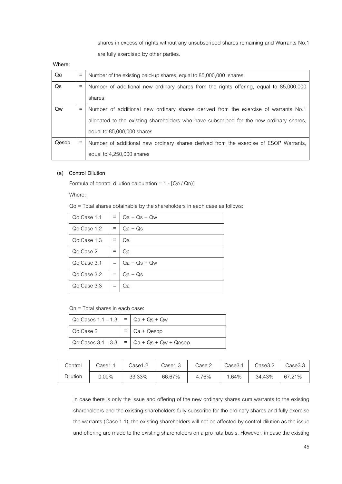shares in excess of rights without any unsubscribed shares remaining and Warrants No.1 are fully exercised by other parties.

**Where:** 

| Qa    | $\equiv$          | Number of the existing paid-up shares, equal to 85,000,000 shares                       |
|-------|-------------------|-----------------------------------------------------------------------------------------|
| Qs    | Ξ                 | Number of additional new ordinary shares from the rights offering, equal to 85,000,000  |
|       |                   | shares                                                                                  |
| Qw    | Ξ                 | Number of additional new ordinary shares derived from the exercise of warrants No.1     |
|       |                   | allocated to the existing shareholders who have subscribed for the new ordinary shares, |
|       |                   | equal to 85,000,000 shares                                                              |
| Qesop | $\qquad \qquad =$ | Number of additional new ordinary shares derived from the exercise of ESOP Warrants,    |
|       |                   | equal to 4,250,000 shares                                                               |

# **(a) Control Dilution**

Formula of control dilution calculation =  $1 - [Qo / Qn]$ 

Where:

Qo = Total shares obtainable by the shareholders in each case as follows:

| Qo Case 1.1 |     | $Qa + Qs + Qw$ |
|-------------|-----|----------------|
| Qo Case 1.2 | =   | Qa + Qs        |
| Qo Case 1.3 |     | Qa             |
| Qo Case 2   |     | Qa             |
| Qo Case 3.1 | $=$ | $Qa + Qs + Qw$ |
| Qo Case 3.2 | $=$ | $Qa + Qs$      |
| Qo Case 3.3 |     | Qa             |

Qn = Total shares in each case:

| Qo Cases $1.1 - 1.3$ = $\sqrt{qa} + Qs + Qw$ |                                                 |
|----------------------------------------------|-------------------------------------------------|
| Qo Case 2                                    | $Qa + Qesop$                                    |
|                                              | Qo Cases $3.1 - 3.3$   =   Qa + Qs + Qw + Qesop |

| Control  | Case1.1 | Case1.2 | Case1.3 | Case 2 | $\textcolor{blue}{\text{Case}}3.1$ | Case3.2 | Case3.3 |
|----------|---------|---------|---------|--------|------------------------------------|---------|---------|
| Dilution | 0.00%   | 33.33%  | 66.67%  | 4.76%  | 1.64%                              | 34.43%  | 67.21%  |

In case there is only the issue and offering of the new ordinary shares cum warrants to the existing shareholders and the existing shareholders fully subscribe for the ordinary shares and fully exercise the warrants (Case 1.1), the existing shareholders will not be affected by control dilution as the issue and offering are made to the existing shareholders on a pro rata basis. However, in case the existing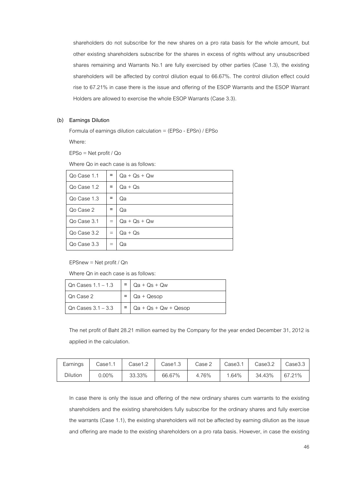shareholders do not subscribe for the new shares on a pro rata basis for the whole amount, but other existing shareholders subscribe for the shares in excess of rights without any unsubscribed shares remaining and Warrants No.1 are fully exercised by other parties (Case 1.3), the existing shareholders will be affected by control dilution equal to 66.67%. The control dilution effect could rise to 67.21% in case there is the issue and offering of the ESOP Warrants and the ESOP Warrant Holders are allowed to exercise the whole ESOP Warrants (Case 3.3).

#### **(b) Earnings Dilution**

Formula of earnings dilution calculation = (EPSo - EPSn) / EPSo

Where:

EPSo = Net profit / Qo

Where Qo in each case is as follows:

| Qo Case 1.1 | Ξ   | $Qa + Qs + Qw$ |
|-------------|-----|----------------|
| Qo Case 1.2 | Ξ   | Qa + Qs        |
| Qo Case 1.3 |     | Qa             |
| Qo Case 2   | $=$ | Qa             |
| Qo Case 3.1 | $=$ | $Qa + Qs + Qw$ |
| Qo Case 3.2 | $=$ | Qa + Qs        |
| Qo Case 3.3 | $=$ | Qa             |

EPSnew = Net profit / Qn

Where Qn in each case is as follows:

| Qn Cases 1.1 - 1.3 | $=$   Qa + Qs + Qw       |
|--------------------|--------------------------|
| Qn Case 2          | $Qa + Qesop$             |
| Qn Cases 3.1 - 3.3 | $=$ Qa + Qs + Qw + Qesop |

The net profit of Baht 28.21 million earned by the Company for the year ended December 31, 2012 is applied in the calculation.

| Earnings | Case1.1  | Case1.2 | Case1.3 | Case 2 | Case3.1 | Case3.2 | Case3.3 |
|----------|----------|---------|---------|--------|---------|---------|---------|
| Dilution | $0.00\%$ | 33.33%  | 66.67%  | 4.76%  | 1.64%   | 34.43%  | 67.21%  |

In case there is only the issue and offering of the new ordinary shares cum warrants to the existing shareholders and the existing shareholders fully subscribe for the ordinary shares and fully exercise the warrants (Case 1.1), the existing shareholders will not be affected by earning dilution as the issue and offering are made to the existing shareholders on a pro rata basis. However, in case the existing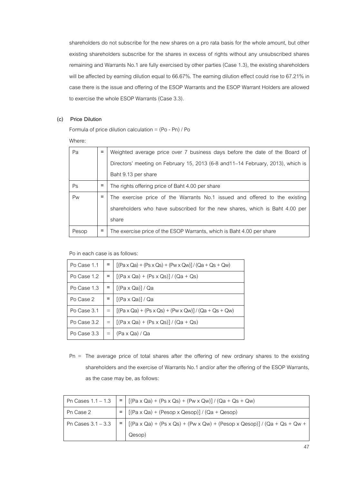shareholders do not subscribe for the new shares on a pro rata basis for the whole amount, but other existing shareholders subscribe for the shares in excess of rights without any unsubscribed shares remaining and Warrants No.1 are fully exercised by other parties (Case 1.3), the existing shareholders will be affected by earning dilution equal to 66.67%. The earning dilution effect could rise to 67.21% in case there is the issue and offering of the ESOP Warrants and the ESOP Warrant Holders are allowed to exercise the whole ESOP Warrants (Case 3.3).

#### **(c) Price Dilution**

Formula of price dilution calculation =  $(Po - Pn) / Po$ 

Where:

| Pa    | $=$ | Weighted average price over 7 business days before the date of the Board of      |
|-------|-----|----------------------------------------------------------------------------------|
|       |     | Directors' meeting on February 15, 2013 (6-8 and 11-14 February, 2013), which is |
|       |     | Baht 9.13 per share                                                              |
| Ps    | Ξ   | The rights offering price of Baht 4.00 per share                                 |
| Pw    | Ξ   | The exercise price of the Warrants No.1 issued and offered to the existing       |
|       |     | shareholders who have subscribed for the new shares, which is Baht 4.00 per      |
|       |     | share                                                                            |
| Pesop | $=$ | The exercise price of the ESOP Warrants, which is Baht 4.00 per share            |

Po in each case is as follows:

| Po Case 1.1 | $=$ | $[(Pa \times Qa) + (Ps \times Qs) + (Pw \times Qw)] / (Qa + Qs + Qw)$ |
|-------------|-----|-----------------------------------------------------------------------|
| Po Case 1.2 | $=$ | $[(Pa \times Qa) + (Ps \times Qs)] / (Qa + Qs)$                       |
| Po Case 1.3 |     | $[(Pa \times Qa)]/Qa$                                                 |
| Po Case 2   |     | $[(Pa \times Qa)]/Qa$                                                 |
| Po Case 3.1 | $=$ | $[(Pa \times Qa) + (Ps \times Qs) + (Pw \times Qw)] / (Qa + Qs + Qw)$ |
| Po Case 3.2 | $=$ | $[(Pa \times Qa) + (Ps \times Qs)] / (Qa + Qs)$                       |
| Po Case 3.3 |     | (Pa x Qa) / Qa                                                        |

Pn = The average price of total shares after the offering of new ordinary shares to the existing shareholders and the exercise of Warrants No.1 and/or after the offering of the ESOP Warrants, as the case may be, as follows:

| Pn Cases $1.1 - 1.3$ | $=$ $[(Pa \times Qa) + (Ps \times Qs) + (Pw \times Qw)] / (Qa + Qs + Qw)$                                                                                   |
|----------------------|-------------------------------------------------------------------------------------------------------------------------------------------------------------|
| Pn Case 2            | $\left[\left(\left[\text{Pa} \times \text{Qa}\right) + \left(\text{Pesop} \times \text{Qesop}\right)\right] / \left(\text{Qa} + \text{Qesop}\right)\right]$ |
| Pn Cases $3.1 - 3.3$ | $=$ $\left[ (Pa \times Qa) + (Ps \times Qs) + (Pw \times Qw) + (Pesop \times Qesop) \right] / (Qa + Qs + Qw +$                                              |
|                      | Qesop)                                                                                                                                                      |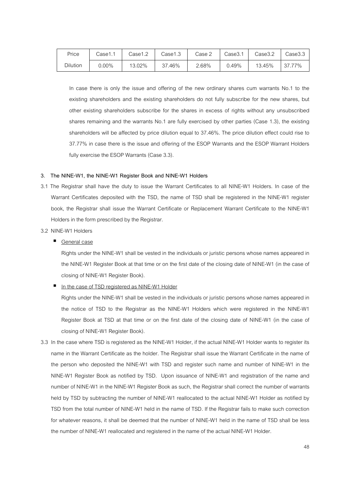| Price    | Case1.1 | 2.cse1 | Case1.3 | Case 2 | Case3.1 | Case3.2 | Case3.3     |
|----------|---------|--------|---------|--------|---------|---------|-------------|
| Dilution | 0.00%   | 13.02% | 37.46%  | 2.68%  | 0.49%   | 13.45%  | 77%<br>37.7 |

In case there is only the issue and offering of the new ordinary shares cum warrants No.1 to the existing shareholders and the existing shareholders do not fully subscribe for the new shares, but other existing shareholders subscribe for the shares in excess of rights without any unsubscribed shares remaining and the warrants No.1 are fully exercised by other parties (Case 1.3), the existing shareholders will be affected by price dilution equal to 37.46%. The price dilution effect could rise to 37.77% in case there is the issue and offering of the ESOP Warrants and the ESOP Warrant Holders fully exercise the ESOP Warrants (Case 3.3).

#### **3. The NINE-W1, the NINE-W1 Register Book and NINE-W1 Holders**

- 3.1 The Registrar shall have the duty to issue the Warrant Certificates to all NINE-W1 Holders. In case of the Warrant Certificates deposited with the TSD, the name of TSD shall be registered in the NINE-W1 register book, the Registrar shall issue the Warrant Certificate or Replacement Warrant Certificate to the NINE-W1 Holders in the form prescribed by the Registrar.
- 3.2 NINE-W1 Holders
	- General case

Rights under the NINE-W1 shall be vested in the individuals or juristic persons whose names appeared in the NINE-W1 Register Book at that time or on the first date of the closing date of NINE-W1 (in the case of closing of NINE-W1 Register Book).

In the case of TSD registered as NINE-W1 Holder

Rights under the NINE-W1 shall be vested in the individuals or juristic persons whose names appeared in the notice of TSD to the Registrar as the NINE-W1 Holders which were registered in the NINE-W1 Register Book at TSD at that time or on the first date of the closing date of NINE-W1 (in the case of closing of NINE-W1 Register Book).

3.3 In the case where TSD is registered as the NINE-W1 Holder, if the actual NINE-W1 Holder wants to register its name in the Warrant Certificate as the holder. The Registrar shall issue the Warrant Certificate in the name of the person who deposited the NINE-W1 with TSD and register such name and number of NINE-W1 in the NINE-W1 Register Book as notified by TSD. Upon issuance of NINE-W1 and registration of the name and number of NINE-W1 in the NINE-W1 Register Book as such, the Registrar shall correct the number of warrants held by TSD by subtracting the number of NINE-W1 reallocated to the actual NINE-W1 Holder as notified by TSD from the total number of NINE-W1 held in the name of TSD. If the Registrar fails to make such correction for whatever reasons, it shall be deemed that the number of NINE-W1 held in the name of TSD shall be less the number of NINE-W1 reallocated and registered in the name of the actual NINE-W1 Holder.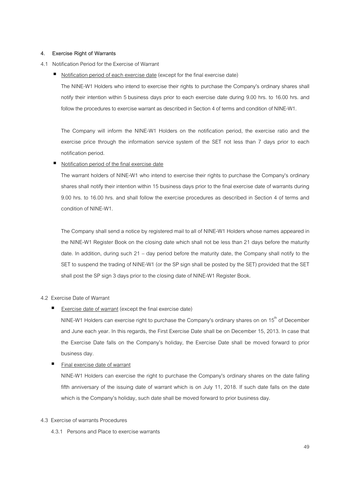#### **4. Exercise Right of Warrants**

#### 4.1 Notification Period for the Exercise of Warrant

■ Notification period of each exercise date (except for the final exercise date)

The NINE-W1 Holders who intend to exercise their rights to purchase the Company's ordinary shares shall notify their intention within 5 business days prior to each exercise date during 9.00 hrs. to 16.00 hrs. and follow the procedures to exercise warrant as described in Section 4 of terms and condition of NINE-W1.

The Company will inform the NINE-W1 Holders on the notification period, the exercise ratio and the exercise price through the information service system of the SET not less than 7 days prior to each notification period.

#### Notification period of the final exercise date

 The warrant holders of NINE-W1 who intend to exercise their rights to purchase the Company's ordinary shares shall notify their intention within 15 business days prior to the final exercise date of warrants during 9.00 hrs. to 16.00 hrs. and shall follow the exercise procedures as described in Section 4 of terms and condition of NINE-W1.

The Company shall send a notice by registered mail to all of NINE-W1 Holders whose names appeared in the NINE-W1 Register Book on the closing date which shall not be less than 21 days before the maturity date. In addition, during such 21 – day period before the maturity date, the Company shall notify to the SET to suspend the trading of NINE-W1 (or the SP sign shall be posted by the SET) provided that the SET shall post the SP sign 3 days prior to the closing date of NINE-W1 Register Book.

#### 4.2 Exercise Date of Warrant

Exercise date of warrant (except the final exercise date)

NINE-W1 Holders can exercise right to purchase the Company's ordinary shares on on 15<sup>th</sup> of December and June each year. In this regards, the First Exercise Date shall be on December 15, 2013. In case that the Exercise Date falls on the Company's holiday, the Exercise Date shall be moved forward to prior business day.

#### ■ Final exercise date of warrant

NINE-W1 Holders can exercise the right to purchase the Company's ordinary shares on the date falling fifth anniversary of the issuing date of warrant which is on July 11, 2018. If such date falls on the date which is the Company's holiday, such date shall be moved forward to prior business day.

#### 4.3 Exercise of warrants Procedures

4.3.1 Persons and Place to exercise warrants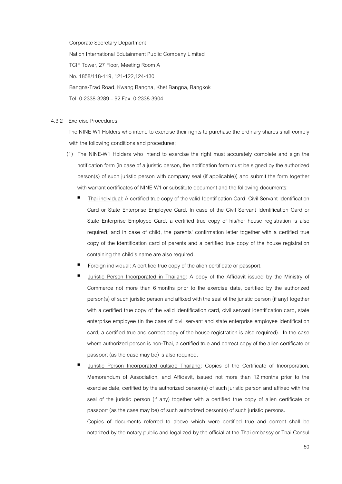Corporate Secretary Department Nation International Edutainment Public Company Limited TCIF Tower, 27 Floor, Meeting Room A No. 1858/118-119, 121-122,124-130 Bangna-Trad Road, Kwang Bangna, Khet Bangna, Bangkok Tel. 0-2338-3289 – 92 Fax. 0-2338-3904

#### 4.3.2 Exercise Procedures

 The NINE-W1 Holders who intend to exercise their rights to purchase the ordinary shares shall comply with the following conditions and procedures;

- (1) The NINE-W1 Holders who intend to exercise the right must accurately complete and sign the notification form (in case of a juristic person, the notification form must be signed by the authorized person(s) of such juristic person with company seal (if applicable)) and submit the form together with warrant certificates of NINE-W1 or substitute document and the following documents;
	- Thai individual: A certified true copy of the valid Identification Card, Civil Servant Identification Card or State Enterprise Employee Card. In case of the Civil Servant Identification Card or State Enterprise Employee Card, a certified true copy of his/her house registration is also required, and in case of child, the parents' confirmation letter together with a certified true copy of the identification card of parents and a certified true copy of the house registration containing the child's name are also required.
	- Foreign individual: A certified true copy of the alien certificate or passport.
	- Juristic Person Incorporated in Thailand: A copy of the Affidavit issued by the Ministry of Commerce not more than 6 months prior to the exercise date, certified by the authorized person(s) of such juristic person and affixed with the seal of the juristic person (if any) together with a certified true copy of the valid identification card, civil servant identification card, state enterprise employee (in the case of civil servant and state enterprise employee identification card, a certified true and correct copy of the house registration is also required). In the case where authorized person is non-Thai, a certified true and correct copy of the alien certificate or passport (as the case may be) is also required.
	- Juristic Person Incorporated outside Thailand: Copies of the Certificate of Incorporation, Memorandum of Association, and Affidavit, issued not more than 12 months prior to the exercise date, certified by the authorized person(s) of such juristic person and affixed with the seal of the juristic person (if any) together with a certified true copy of alien certificate or passport (as the case may be) of such authorized person(s) of such juristic persons.

Copies of documents referred to above which were certified true and correct shall be notarized by the notary public and legalized by the official at the Thai embassy or Thai Consul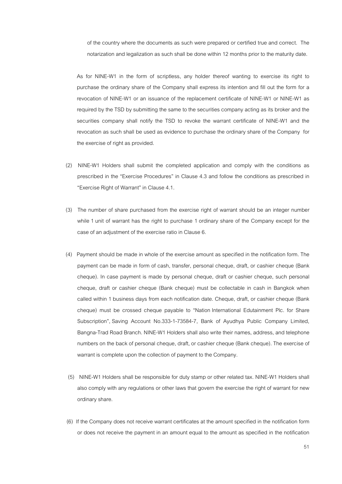of the country where the documents as such were prepared or certified true and correct. The notarization and legalization as such shall be done within 12 months prior to the maturity date.

As for NINE-W1 in the form of scriptless, any holder thereof wanting to exercise its right to purchase the ordinary share of the Company shall express its intention and fill out the form for a revocation of NINE-W1 or an issuance of the replacement certificate of NINE-W1 or NINE-W1 as required by the TSD by submitting the same to the securities company acting as its broker and the securities company shall notify the TSD to revoke the warrant certificate of NINE-W1 and the revocation as such shall be used as evidence to purchase the ordinary share of the Company for the exercise of right as provided.

- (2) NINE-W1 Holders shall submit the completed application and comply with the conditions as prescribed in the "Exercise Procedures" in Clause 4.3 and follow the conditions as prescribed in "Exercise Right of Warrant" in Clause 4.1.
- (3) The number of share purchased from the exercise right of warrant should be an integer number while 1 unit of warrant has the right to purchase 1 ordinary share of the Company except for the case of an adjustment of the exercise ratio in Clause 6.
- (4) Payment should be made in whole of the exercise amount as specified in the notification form. The payment can be made in form of cash, transfer, personal cheque, draft, or cashier cheque (Bank cheque). In case payment is made by personal cheque, draft or cashier cheque, such personal cheque, draft or cashier cheque (Bank cheque) must be collectable in cash in Bangkok when called within 1 business days from each notification date. Cheque, draft, or cashier cheque (Bank cheque) must be crossed cheque payable to "Nation International Edutainment Plc. for Share Subscription", Saving Account No.333-1-73584-7, Bank of Ayudhya Public Company Limited, Bangna-Trad Road Branch. NINE-W1 Holders shall also write their names, address, and telephone numbers on the back of personal cheque, draft, or cashier cheque (Bank cheque). The exercise of warrant is complete upon the collection of payment to the Company.
- (5) NINE-W1 Holders shall be responsible for duty stamp or other related tax. NINE-W1 Holders shall also comply with any regulations or other laws that govern the exercise the right of warrant for new ordinary share.
- (6) If the Company does not receive warrant certificates at the amount specified in the notification form or does not receive the payment in an amount equal to the amount as specified in the notification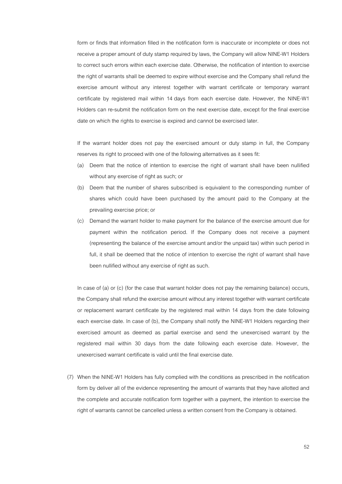form or finds that information filled in the notification form is inaccurate or incomplete or does not receive a proper amount of duty stamp required by laws, the Company will allow NINE-W1 Holders to correct such errors within each exercise date. Otherwise, the notification of intention to exercise the right of warrants shall be deemed to expire without exercise and the Company shall refund the exercise amount without any interest together with warrant certificate or temporary warrant certificate by registered mail within 14 days from each exercise date. However, the NINE-W1 Holders can re-submit the notification form on the next exercise date, except for the final exercise date on which the rights to exercise is expired and cannot be exercised later.

If the warrant holder does not pay the exercised amount or duty stamp in full, the Company reserves its right to proceed with one of the following alternatives as it sees fit:

- (a) Deem that the notice of intention to exercise the right of warrant shall have been nullified without any exercise of right as such; or
- (b) Deem that the number of shares subscribed is equivalent to the corresponding number of shares which could have been purchased by the amount paid to the Company at the prevailing exercise price; or
- (c) Demand the warrant holder to make payment for the balance of the exercise amount due for payment within the notification period. If the Company does not receive a payment (representing the balance of the exercise amount and/or the unpaid tax) within such period in full, it shall be deemed that the notice of intention to exercise the right of warrant shall have been nullified without any exercise of right as such.

In case of (a) or (c) (for the case that warrant holder does not pay the remaining balance) occurs, the Company shall refund the exercise amount without any interest together with warrant certificate or replacement warrant certificate by the registered mail within 14 days from the date following each exercise date. In case of (b), the Company shall notify the NINE-W1 Holders regarding their exercised amount as deemed as partial exercise and send the unexercised warrant by the registered mail within 30 days from the date following each exercise date. However, the unexercised warrant certificate is valid until the final exercise date.

 (7) When the NINE-W1 Holders has fully complied with the conditions as prescribed in the notification form by deliver all of the evidence representing the amount of warrants that they have allotted and the complete and accurate notification form together with a payment, the intention to exercise the right of warrants cannot be cancelled unless a written consent from the Company is obtained.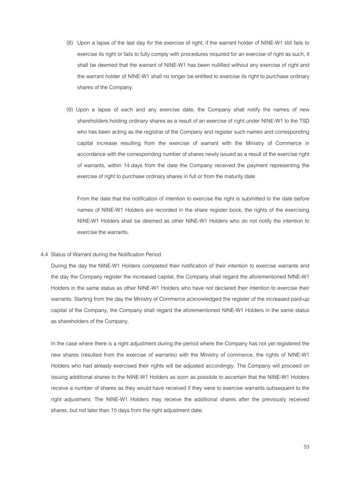- (8) Upon a lapse of the last day for the exercise of right, if the warrant holder of NINE-W1 still fails to exercise its right or fails to fully comply with procedures required for an exercise of right as such, it shall be deemed that the warrant of NINE-W1 has been nullified without any exercise of right and the warrant holder of NINE-W1 shall no longer be entitled to exercise its right to purchase ordinary shares of the Company.
- (9) Upon a lapse of each and any exercise date, the Company shall notify the names of new shareholders holding ordinary shares as a result of an exercise of right under NINE-W1 to the TSD who has been acting as the registrar of the Company and register such names and corresponding capital increase resulting from the exercise of warrant with the Ministry of Commerce in accordance with the corresponding number of shares newly issued as a result of the exercise right of warrants, within 14 days from the date the Company received the payment representing the exercise of right to purchase ordinary shares in full or from the maturity date.

From the date that the notification of intention to exercise the right is submitted to the date before names of NINE-W1 Holders are recorded in the share register book, the rights of the exercising NINE-W1 Holders shall be deemed as other NINE-W1 Holders who do not notify the intention to exercise the warrants.

#### 4.4 Status of Warrant during the Notification Period

During the day the NINE-W1 Holders completed their notification of their intention to exercise warrants and the day the Company register the increased capital, the Company shall regard the aforementioned NINE-W1 Holders in the same status as other NINE-W1 Holders who have not declared their intention to exercise their warrants. Starting from the day the Ministry of Commerce acknowledged the register of the increased paid-up capital of the Company, the Company shall regard the aforementioned NINE-W1 Holders in the same status as shareholders of the Company.

In the case where there is a right adjustment during the period where the Company has not yet registered the new shares (resulted from the exercise of warrants) with the Ministry of commerce, the rights of NINE-W1 Holders who had already exercised their rights will be adjusted accordingly. The Company will proceed on issuing additional shares to the NINE-W1 Holders as soon as possible to ascertain that the NINE-W1 Holders receive a number of shares as they would have received if they were to exercise warrants subsequent to the right adjustment. The NINE-W1 Holders may receive the additional shares after the previously received shares, but not later than 15 days from the right adjustment date.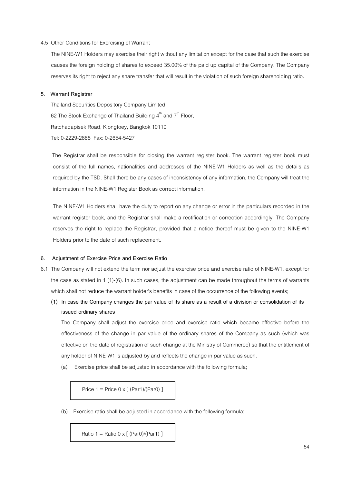#### 4.5 Other Conditions for Exercising of Warrant

The NINE-W1 Holders may exercise their right without any limitation except for the case that such the exercise causes the foreign holding of shares to exceed 35.00% of the paid up capital of the Company. The Company reserves its right to reject any share transfer that will result in the violation of such foreign shareholding ratio.

#### **5. Warrant Registrar**

 Thailand Securities Depository Company Limited 62 The Stock Exchange of Thailand Building  $4^{\text{th}}$  and  $7^{\text{th}}$  Floor. Ratchadapisek Road, Klongtoey, Bangkok 10110 Tel: 0-2229-2888 Fax: 0-2654-5427

 The Registrar shall be responsible for closing the warrant register book. The warrant register book must consist of the full names, nationalities and addresses of the NINE-W1 Holders as well as the details as required by the TSD. Shall there be any cases of inconsistency of any information, the Company will treat the information in the NINE-W1 Register Book as correct information.

The NINE-W1 Holders shall have the duty to report on any change or error in the particulars recorded in the warrant register book, and the Registrar shall make a rectification or correction accordingly. The Company reserves the right to replace the Registrar, provided that a notice thereof must be given to the NINE-W1 Holders prior to the date of such replacement.

#### **6. Adjustment of Exercise Price and Exercise Ratio**

- 6.1 The Company will not extend the term nor adjust the exercise price and exercise ratio of NINE-W1, except for the case as stated in 1 (1)-(6). In such cases, the adjustment can be made throughout the terms of warrants which shall not reduce the warrant holder's benefits in case of the occurrence of the following events;
	- **(1) In case the Company changes the par value of its share as a result of a division or consolidation of its issued ordinary shares**

The Company shall adjust the exercise price and exercise ratio which became effective before the effectiveness of the change in par value of the ordinary shares of the Company as such (which was effective on the date of registration of such change at the Ministry of Commerce) so that the entitlement of any holder of NINE-W1 is adjusted by and reflects the change in par value as such.

(a) Exercise price shall be adjusted in accordance with the following formula;

Price  $1 =$  Price  $0 \times$   $($  (Par1)/(Par0)  $]$ 

(b) Exercise ratio shall be adjusted in accordance with the following formula;

Ratio 1 = Ratio  $0 \times$  [ (Par0)/(Par1) ]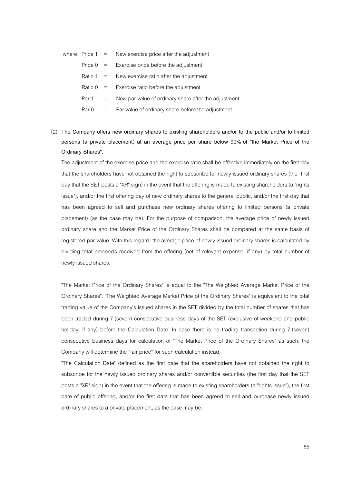|            | where: Price $1 =$ New exercise price after the adjustment  |
|------------|-------------------------------------------------------------|
|            | Price $0 =$ Exercise price before the adjustment            |
|            | Ratio 1 $=$ New exercise ratio after the adjustment         |
|            | Ratio $0 =$ Exercise ratio before the adjustment            |
| $Part 1 =$ | New par value of ordinary share after the adjustment        |
|            | Par $0 =$ Par value of ordinary share before the adjustment |

(2) **The Company offers new ordinary shares to existing shareholders and/or to the public and/or to limited persons (a private placement) at an average price per share below 90% of "the Market Price of the Ordinary Shares".**

The adjustment of the exercise price and the exercise ratio shall be effective immediately on the first day that the shareholders have not obtained the right to subscribe for newly issued ordinary shares (the first day that the SET posts a "XR" sign) in the event that the offering is made to existing shareholders (a "rights issue"), and/or the first offering day of new ordinary shares to the general public, and/or the first day that has been agreed to sell and purchase new ordinary shares offering to limited persons (a private placement) (as the case may be). For the purpose of comparison, the average price of newly issued ordinary share and the Market Price of the Ordinary Shares shall be compared at the same basis of registered par value. With this regard, the average price of newly issued ordinary shares is calculated by dividing total proceeds received from the offering (net of relevant expense, if any) by total number of newly issued shares.

"The Market Price of the Ordinary Shares" is equal to the "The Weighted Average Market Price of the Ordinary Shares". "The Weighted Average Market Price of the Ordinary Shares" is equivalent to the total trading value of the Company's issued shares in the SET divided by the total number of shares that has been traded during 7 (seven) consecutive business days of the SET (exclusive of weekend and public holiday, if any) before the Calculation Date. In case there is no trading transaction during 7 (seven) consecutive business days for calculation of "The Market Price of the Ordinary Shares" as such, the Company will determine the "fair price" for such calculation instead.

"The Calculation Date" defined as the first date that the shareholders have not obtained the right to subscribe for the newly issued ordinary shares and/or convertible securities (the first day that the SET posts a "XR" sign) in the event that the offering is made to existing shareholders (a "rights issue"), the first date of public offering, and/or the first date that has been agreed to sell and purchase newly issued ordinary shares to a private placement, as the case may be.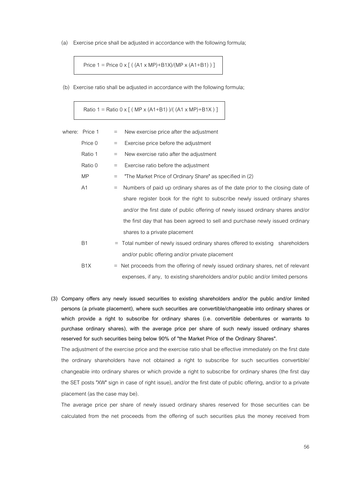(a) Exercise price shall be adjusted in accordance with the following formula;

Price  $1 = \text{Price } 0 \times [ ( (A1 \times MP) + B1X) / (MP \times (A1 + B1) ) ]$ 

(b) Exercise ratio shall be adjusted in accordance with the following formula;

Ratio 1 = Ratio 0 x  $[$  (MP x (A1+B1) )/( (A1 x MP)+B1X ) ]

| where: Price 1<br>$=$         | New exercise price after the adjustment                                         |
|-------------------------------|---------------------------------------------------------------------------------|
| Price 0<br>$=$                | Exercise price before the adjustment                                            |
| Ratio 1<br>$\equiv$           | New exercise ratio after the adjustment                                         |
| Ratio 0<br>$=$                | Exercise ratio before the adjustment                                            |
| <b>MP</b><br>$=$              | "The Market Price of Ordinary Share" as specified in (2)                        |
| A1<br>$=$                     | Numbers of paid up ordinary shares as of the date prior to the closing date of  |
|                               | share register book for the right to subscribe newly issued ordinary shares     |
|                               | and/or the first date of public offering of newly issued ordinary shares and/or |
|                               | the first day that has been agreed to sell and purchase newly issued ordinary   |
| shares to a private placement |                                                                                 |
| <b>B1</b><br>$=$              | Total number of newly issued ordinary shares offered to existing shareholders   |
|                               | and/or public offering and/or private placement                                 |
| B <sub>1</sub> X<br>$=$       | Net proceeds from the offering of newly issued ordinary shares, net of relevant |

**(3) Company offers any newly issued securities to existing shareholders and/or the public and/or limited persons (a private placement), where such securities are convertible/changeable into ordinary shares or which provide a right to subscribe for ordinary shares (i.e. convertible debentures or warrants to purchase ordinary shares), with the average price per share of such newly issued ordinary shares reserved for such securities being below 90% of "the Market Price of the Ordinary Shares".** 

expenses, if any, to existing shareholders and/or public and/or limited persons

The adjustment of the exercise price and the exercise ratio shall be effective immediately on the first date the ordinary shareholders have not obtained a right to subscribe for such securities convertible/ changeable into ordinary shares or which provide a right to subscribe for ordinary shares (the first day the SET posts "XW" sign in case of right issue), and/or the first date of public offering, and/or to a private placement (as the case may be).

The average price per share of newly issued ordinary shares reserved for those securities can be calculated from the net proceeds from the offering of such securities plus the money received from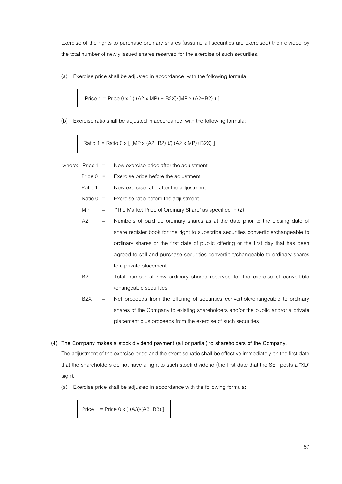exercise of the rights to purchase ordinary shares (assume all securities are exercised) then divided by the total number of newly issued shares reserved for the exercise of such securities.

(a) Exercise price shall be adjusted in accordance with the following formula;

$$
Price 1 = Price 0 x [( (A2 x MP) + B2X)/(MP x (A2+B2) ) ]
$$

(b) Exercise ratio shall be adjusted in accordance with the following formula;

Ratio 1 = Ratio 0 x  $\lceil$  (MP x (A2+B2) )/( (A2 x MP)+B2X) ]

- where: Price  $1 =$  New exercise price after the adjustment
	- Price  $0 =$  Exercise price before the adjustment
	- Ratio  $1 =$  New exercise ratio after the adjustment
	- Ratio  $0 =$  Exercise ratio before the adjustment
	- $MP =$  The Market Price of Ordinary Share" as specified in (2)
	- A2 = Numbers of paid up ordinary shares as at the date prior to the closing date of share register book for the right to subscribe securities convertible/changeable to ordinary shares or the first date of public offering or the first day that has been agreed to sell and purchase securities convertible/changeable to ordinary shares to a private placement
	- B2 = Total number of new ordinary shares reserved for the exercise of convertible /changeable securities
	- B2X = Net proceeds from the offering of securities convertible/changeable to ordinary shares of the Company to existing shareholders and/or the public and/or a private placement plus proceeds from the exercise of such securities

#### **(4) The Company makes a stock dividend payment (all or partial) to shareholders of the Company.**

The adjustment of the exercise price and the exercise ratio shall be effective immediately on the first date that the shareholders do not have a right to such stock dividend (the first date that the SET posts a "XD" sign).

(a) Exercise price shall be adjusted in accordance with the following formula;

Price  $1 =$  Price  $0 \times$  [ (A3)/(A3+B3) ]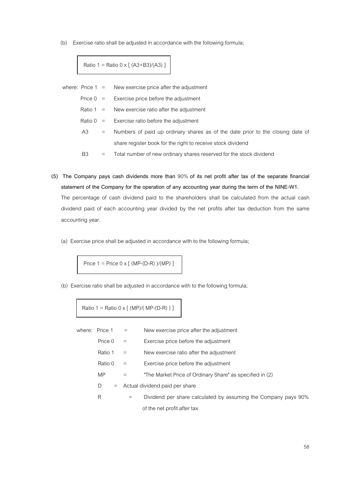(b) Exercise ratio shall be adjusted in accordance with the following formula;

Ratio 1 = Ratio 0 x  $[ (A3+B3)/(A3) ]$ 

|     |     | where: Price $1 =$ New exercise price after the adjustment                         |
|-----|-----|------------------------------------------------------------------------------------|
|     |     | Price $0 =$ Exercise price before the adjustment                                   |
|     |     | Ratio 1 $=$ New exercise ratio after the adjustment                                |
|     |     | Ratio $0 =$ Exercise ratio before the adjustment                                   |
| A3. |     | $=$ Numbers of paid up ordinary shares as of the date prior to the closing date of |
|     |     | share register book for the right to receive stock dividend                        |
| B3  | $=$ | Total number of new ordinary shares reserved for the stock dividend                |

- **(5) The Company pays cash dividends more than** 90% **of its net profit after tax of the separate financial statement of the Company for the operation of any accounting year during the term of the NINE-W1.**  The percentage of cash dividend paid to the shareholders shall be calculated from the actual cash dividend paid of each accounting year divided by the net profits after tax deduction from the same accounting year.
	- (a) Exercise price shall be adjusted in accordance with to the following formula;

Price 1 = Price 0 x [ (MP-(D-R) )/(MP) ]

(b) Exercise ratio shall be adjusted in accordance with to the following formula;

Ratio 1 = Ratio 0 x  $[ (MP)/(MP-(D-R) ) ]$ 

| where: Price 1 | $\equiv$ | New exercise price after the adjustment                        |
|----------------|----------|----------------------------------------------------------------|
| Price 0        | $\equiv$ | Exercise price before the adjustment                           |
| Ratio 1        | $=$      | New exercise ratio after the adjustment                        |
| Ratio 0        | $=$      | Exercise price before the adjustment                           |
| MP             | $=$      | "The Market Price of Ordinary Share" as specified in (2)       |
| D<br>$=$       |          | Actual dividend paid per share                                 |
| R              | $=$      | Dividend per share calculated by assuming the Company pays 90% |
|                |          | of the net profit after tax                                    |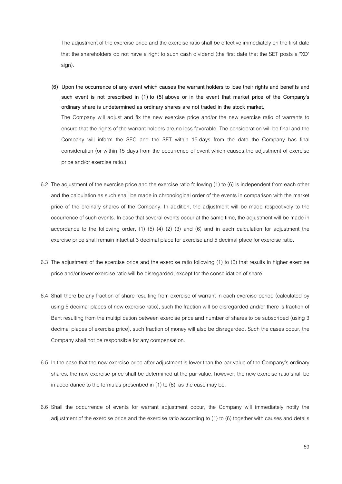The adjustment of the exercise price and the exercise ratio shall be effective immediately on the first date that the shareholders do not have a right to such cash dividend (the first date that the SET posts a "XD" sign).

- **(6) Upon the occurrence of any event which causes the warrant holders to lose their rights and benefits and such event is not prescribed in (1) to (5) above or in the event that market price of the Company's ordinary share is undetermined as ordinary shares are not traded in the stock market.**  The Company will adjust and fix the new exercise price and/or the new exercise ratio of warrants to ensure that the rights of the warrant holders are no less favorable. The consideration will be final and the Company will inform the SEC and the SET within 15 days from the date the Company has final consideration (or within 15 days from the occurrence of event which causes the adjustment of exercise price and/or exercise ratio.)
- 6.2 The adjustment of the exercise price and the exercise ratio following (1) to (6) is independent from each other and the calculation as such shall be made in chronological order of the events in comparison with the market price of the ordinary shares of the Company. In addition, the adjustment will be made respectively to the occurrence of such events. In case that several events occur at the same time, the adjustment will be made in accordance to the following order,  $(1)$   $(5)$   $(4)$   $(2)$   $(3)$  and  $(6)$  and in each calculation for adjustment the exercise price shall remain intact at 3 decimal place for exercise and 5 decimal place for exercise ratio.
- 6.3 The adjustment of the exercise price and the exercise ratio following (1) to (6) that results in higher exercise price and/or lower exercise ratio will be disregarded, except for the consolidation of share
- 6.4 Shall there be any fraction of share resulting from exercise of warrant in each exercise period (calculated by using 5 decimal places of new exercise ratio), such the fraction will be disregarded and/or there is fraction of Baht resulting from the multiplication between exercise price and number of shares to be subscribed (using 3 decimal places of exercise price), such fraction of money will also be disregarded. Such the cases occur, the Company shall not be responsible for any compensation.
- 6.5 In the case that the new exercise price after adjustment is lower than the par value of the Company's ordinary shares, the new exercise price shall be determined at the par value, however, the new exercise ratio shall be in accordance to the formulas prescribed in (1) to (6), as the case may be.
- 6.6 Shall the occurrence of events for warrant adjustment occur, the Company will immediately notify the adjustment of the exercise price and the exercise ratio according to (1) to (6) together with causes and details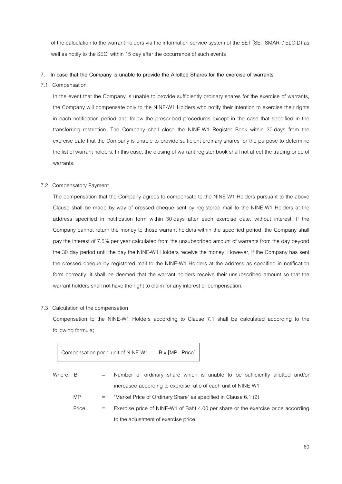of the calculation to the warrant holders via the information service system of the SET (SET SMART/ ELCID) as well as notify to the SEC within 15 day after the occurrence of such events

#### **7. In case that the Company is unable to provide the Allotted Shares for the exercise of warrants**

#### 7.1 Compensation

In the event that the Company is unable to provide sufficiently ordinary shares for the exercise of warrants, the Company will compensate only to the NINE-W1 Holders who notify their intention to exercise their rights in each notification period and follow the prescribed procedures except in the case that specified in the transferring restriction. The Company shall close the NINE-W1 Register Book within 30 days from the exercise date that the Company is unable to provide sufficient ordinary shares for the purpose to determine the list of warrant holders. In this case, the closing of warrant register book shall not affect the trading price of warrants.

#### 7.2 Compensatory Payment

The compensation that the Company agrees to compensate to the NINE-W1 Holders pursuant to the above Clause shall be made by way of crossed cheque sent by registered mail to the NINE-W1 Holders at the address specified in notification form within 30 days after each exercise date, without interest. If the Company cannot return the money to those warrant holders within the specified period, the Company shall pay the interest of 7.5% per year calculated from the unsubscribed amount of warrants from the day beyond the 30 day period until the day the NINE-W1 Holders receive the money. However, if the Company has sent the crossed cheque by registered mail to the NINE-W1 Holders at the address as specified in notification form correctly, it shall be deemed that the warrant holders receive their unsubscribed amount so that the warrant holders shall not have the right to claim for any interest or compensation.

#### 7.3 Calculation of the compensation

Compensation to the NINE-W1 Holders according to Clause 7.1 shall be calculated according to the following formula;

Compensation per 1 unit of NINE-W1 =  $B \times [MP - Price]$ 

| Where: B |       | $=$ $-$ | Number of ordinary share which is unable to be sufficiently allotted and/or      |
|----------|-------|---------|----------------------------------------------------------------------------------|
|          |       |         | increased according to exercise ratio of each unit of NINE-W1                    |
|          | MP.   | $=$ $-$ | "Market Price of Ordinary Share" as specified in Clause 6.1 (2)                  |
|          | Price | $=$     | Exercise price of NINE-W1 of Baht 4.00 per share or the exercise price according |
|          |       |         | to the adjustment of exercise price                                              |
|          |       |         |                                                                                  |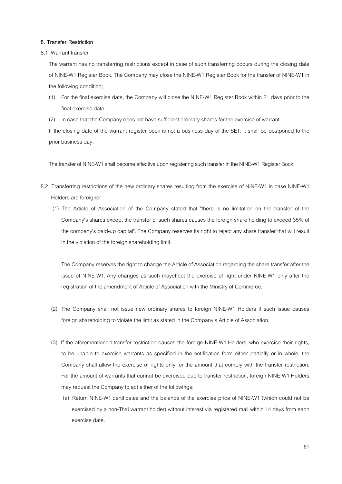# **8. Transfer Restriction**

#### 8.1 Warrant transfer

The warrant has no transferring restrictions except in case of such transferring occurs during the closing date of NINE-W1 Register Book. The Company may close the NINE-W1 Register Book for the transfer of NINE-W1 in the following condition;

- (1) For the final exercise date, the Company will close the NINE-W1 Register Book within 21 days prior to the final exercise date.
- (2) In case that the Company does not have sufficient ordinary shares for the exercise of warrant.

If the closing date of the warrant register book is not a business day of the SET, it shall be postponed to the prior business day.

The transfer of NINE-W1 shall become effective upon registering such transfer in the NINE-W1 Register Book.

- 8.2 Transferring restrictions of the new ordinary shares resulting from the exercise of NINE-W1 in case NINE-W1 Holders are foreigner
	- (1) The Article of Association of the Company stated that "there is no limitation on the transfer of the Company's shares except the transfer of such shares causes the foreign share holding to exceed 35% of the company's paid-up capital". The Company reserves its right to reject any share transfer that will result in the violation of the foreign shareholding limit.

The Company reserves the right to change the Article of Association regarding the share transfer after the issue of NINE-W1. Any changes as such mayeffect the exercise of right under NINE-W1 only after the registration of the amendment of Article of Association with the Ministry of Commerce.

- (2) The Company shall not issue new ordinary shares to foreign NINE-W1 Holders if such issue causes foreign shareholding to violate the limit as stated in the Company's Article of Association.
- (3) If the aforementioned transfer restriction causes the foreign NINE-W1 Holders, who exercise their rights, to be unable to exercise warrants as specified in the notification form either partially or in whole, the Company shall allow the exercise of rights only for the amount that comply with the transfer restriction. For the amount of warrants that cannot be exercised due to transfer restriction, foreign NINE-W1 Holders may request the Company to act either of the followings:
	- (a) Return NINE-W1 certificates and the balance of the exercise price of NINE-W1 (which could not be exercised by a non-Thai warrant holder) without interest via registered mail within 14 days from each exercise date.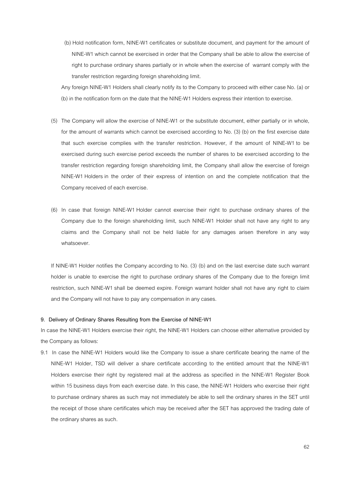(b) Hold notification form, NINE-W1 certificates or substitute document, and payment for the amount of NINE-W1 which cannot be exercised in order that the Company shall be able to allow the exercise of right to purchase ordinary shares partially or in whole when the exercise of warrant comply with the transfer restriction regarding foreign shareholding limit.

Any foreign NINE-W1 Holders shall clearly notify its to the Company to proceed with either case No. (a) or (b) in the notification form on the date that the NINE-W1 Holders express their intention to exercise.

- (5) The Company will allow the exercise of NINE-W1 or the substitute document, either partially or in whole, for the amount of warrants which cannot be exercised according to No. (3) (b) on the first exercise date that such exercise complies with the transfer restriction. However, if the amount of NINE-W1 to be exercised during such exercise period exceeds the number of shares to be exercised according to the transfer restriction regarding foreign shareholding limit, the Company shall allow the exercise of foreign NINE-W1 Holders in the order of their express of intention on and the complete notification that the Company received of each exercise.
- (6) In case that foreign NINE-W1 Holder cannot exercise their right to purchase ordinary shares of the Company due to the foreign shareholding limit, such NINE-W1 Holder shall not have any right to any claims and the Company shall not be held liable for any damages arisen therefore in any way whatsoever.

If NINE-W1 Holder notifies the Company according to No. (3) (b) and on the last exercise date such warrant holder is unable to exercise the right to purchase ordinary shares of the Company due to the foreign limit restriction, such NINE-W1 shall be deemed expire. Foreign warrant holder shall not have any right to claim and the Company will not have to pay any compensation in any cases.

#### **9. Delivery of Ordinary Shares Resulting from the Exercise of NINE-W1**

In case the NINE-W1 Holders exercise their right, the NINE-W1 Holders can choose either alternative provided by the Company as follows:

9.1 In case the NINE-W1 Holders would like the Company to issue a share certificate bearing the name of the NINE-W1 Holder, TSD will deliver a share certificate according to the entitled amount that the NINE-W1 Holders exercise their right by registered mail at the address as specified in the NINE-W1 Register Book within 15 business days from each exercise date. In this case, the NINE-W1 Holders who exercise their right to purchase ordinary shares as such may not immediately be able to sell the ordinary shares in the SET until the receipt of those share certificates which may be received after the SET has approved the trading date of the ordinary shares as such.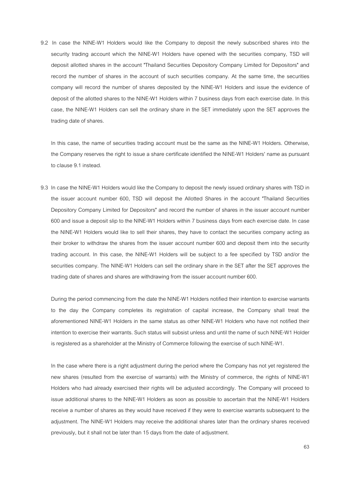9.2 In case the NINE-W1 Holders would like the Company to deposit the newly subscribed shares into the security trading account which the NINE-W1 Holders have opened with the securities company, TSD will deposit allotted shares in the account "Thailand Securities Depository Company Limited for Depositors" and record the number of shares in the account of such securities company. At the same time, the securities company will record the number of shares deposited by the NINE-W1 Holders and issue the evidence of deposit of the allotted shares to the NINE-W1 Holders within 7 business days from each exercise date. In this case, the NINE-W1 Holders can sell the ordinary share in the SET immediately upon the SET approves the trading date of shares.

In this case, the name of securities trading account must be the same as the NINE-W1 Holders. Otherwise, the Company reserves the right to issue a share certificate identified the NINE-W1 Holders' name as pursuant to clause 9.1 instead.

9.3 In case the NINE-W1 Holders would like the Company to deposit the newly issued ordinary shares with TSD in the issuer account number 600, TSD will deposit the Allotted Shares in the account "Thailand Securities Depository Company Limited for Depositors" and record the number of shares in the issuer account number 600 and issue a deposit slip to the NINE-W1 Holders within 7 business days from each exercise date. In case the NINE-W1 Holders would like to sell their shares, they have to contact the securities company acting as their broker to withdraw the shares from the issuer account number 600 and deposit them into the security trading account. In this case, the NINE-W1 Holders will be subject to a fee specified by TSD and/or the securities company. The NINE-W1 Holders can sell the ordinary share in the SET after the SET approves the trading date of shares and shares are withdrawing from the issuer account number 600.

During the period commencing from the date the NINE-W1 Holders notified their intention to exercise warrants to the day the Company completes its registration of capital increase, the Company shall treat the aforementioned NINE-W1 Holders in the same status as other NINE-W1 Holders who have not notified their intention to exercise their warrants. Such status will subsist unless and until the name of such NINE-W1 Holder is registered as a shareholder at the Ministry of Commerce following the exercise of such NINE-W1.

In the case where there is a right adjustment during the period where the Company has not yet registered the new shares (resulted from the exercise of warrants) with the Ministry of commerce, the rights of NINE-W1 Holders who had already exercised their rights will be adjusted accordingly. The Company will proceed to issue additional shares to the NINE-W1 Holders as soon as possible to ascertain that the NINE-W1 Holders receive a number of shares as they would have received if they were to exercise warrants subsequent to the adjustment. The NINE-W1 Holders may receive the additional shares later than the ordinary shares received previously, but it shall not be later than 15 days from the date of adjustment.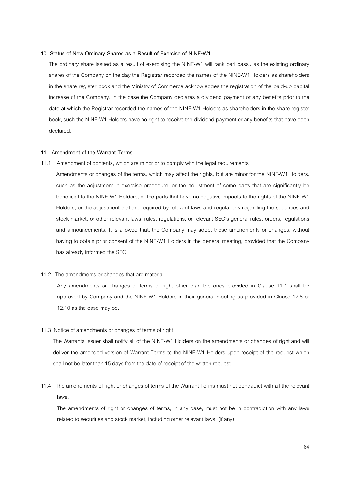#### **10. Status of New Ordinary Shares as a Result of Exercise of NINE-W1**

The ordinary share issued as a result of exercising the NINE-W1 will rank pari passu as the existing ordinary shares of the Company on the day the Registrar recorded the names of the NINE-W1 Holders as shareholders in the share register book and the Ministry of Commerce acknowledges the registration of the paid-up capital increase of the Company. In the case the Company declares a dividend payment or any benefits prior to the date at which the Registrar recorded the names of the NINE-W1 Holders as shareholders in the share register book, such the NINE-W1 Holders have no right to receive the dividend payment or any benefits that have been declared.

#### **11. Amendment of the Warrant Terms**

11.1 Amendment of contents, which are minor or to comply with the legal requirements.

Amendments or changes of the terms, which may affect the rights, but are minor for the NINE-W1 Holders, such as the adjustment in exercise procedure, or the adjustment of some parts that are significantly be beneficial to the NINE-W1 Holders, or the parts that have no negative impacts to the rights of the NINE-W1 Holders, or the adjustment that are required by relevant laws and regulations regarding the securities and stock market, or other relevant laws, rules, regulations, or relevant SEC's general rules, orders, regulations and announcements. It is allowed that, the Company may adopt these amendments or changes, without having to obtain prior consent of the NINE-W1 Holders in the general meeting, provided that the Company has already informed the SEC.

#### 11.2 The amendments or changes that are material

Any amendments or changes of terms of right other than the ones provided in Clause 11.1 shall be approved by Company and the NINE-W1 Holders in their general meeting as provided in Clause 12.8 or 12.10 as the case may be.

#### 11.3 Notice of amendments or changes of terms of right

The Warrants Issuer shall notify all of the NINE-W1 Holders on the amendments or changes of right and will deliver the amended version of Warrant Terms to the NINE-W1 Holders upon receipt of the request which shall not be later than 15 days from the date of receipt of the written request.

11.4 The amendments of right or changes of terms of the Warrant Terms must not contradict with all the relevant laws.

The amendments of right or changes of terms, in any case, must not be in contradiction with any laws related to securities and stock market, including other relevant laws. (if any)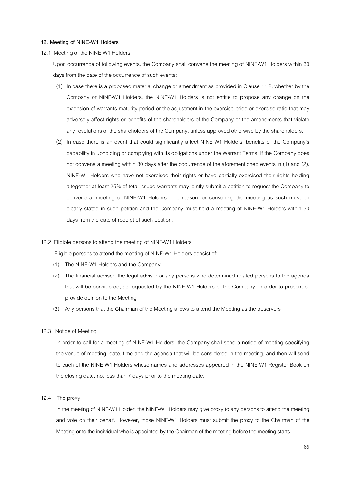#### **12. Meeting of NINE-W1 Holders**

#### 12.1 Meeting of the NINE-W1 Holders

Upon occurrence of following events, the Company shall convene the meeting of NINE-W1 Holders within 30 days from the date of the occurrence of such events:

- (1) In case there is a proposed material change or amendment as provided in Clause 11.2, whether by the Company or NINE-W1 Holders, the NINE-W1 Holders is not entitle to propose any change on the extension of warrants maturity period or the adjustment in the exercise price or exercise ratio that may adversely affect rights or benefits of the shareholders of the Company or the amendments that violate any resolutions of the shareholders of the Company, unless approved otherwise by the shareholders.
- (2) In case there is an event that could significantly affect NINE-W1 Holders' benefits or the Company's capability in upholding or complying with its obligations under the Warrant Terms. If the Company does not convene a meeting within 30 days after the occurrence of the aforementioned events in (1) and (2), NINE-W1 Holders who have not exercised their rights or have partially exercised their rights holding altogether at least 25% of total issued warrants may jointly submit a petition to request the Company to convene al meeting of NINE-W1 Holders. The reason for convening the meeting as such must be clearly stated in such petition and the Company must hold a meeting of NINE-W1 Holders within 30 days from the date of receipt of such petition.

#### 12.2 Eligible persons to attend the meeting of NINE-W1 Holders

Eligible persons to attend the meeting of NINE-W1 Holders consist of:

- (1) The NINE-W1 Holders and the Company
- (2) The financial advisor, the legal advisor or any persons who determined related persons to the agenda that will be considered, as requested by the NINE-W1 Holders or the Company, in order to present or provide opinion to the Meeting
- (3) Any persons that the Chairman of the Meeting allows to attend the Meeting as the observers

# 12.3 Notice of Meeting

In order to call for a meeting of NINE-W1 Holders, the Company shall send a notice of meeting specifying the venue of meeting, date, time and the agenda that will be considered in the meeting, and then will send to each of the NINE-W1 Holders whose names and addresses appeared in the NINE-W1 Register Book on the closing date, not less than 7 days prior to the meeting date.

#### 12.4 The proxy

In the meeting of NINE-W1 Holder, the NINE-W1 Holders may give proxy to any persons to attend the meeting and vote on their behalf. However, those NINE-W1 Holders must submit the proxy to the Chairman of the Meeting or to the individual who is appointed by the Chairman of the meeting before the meeting starts.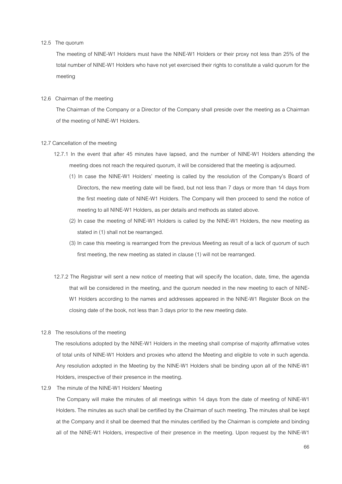#### 12.5 The quorum

The meeting of NINE-W1 Holders must have the NINE-W1 Holders or their proxy not less than 25% of the total number of NINE-W1 Holders who have not yet exercised their rights to constitute a valid quorum for the meeting

#### 12.6 Chairman of the meeting

 The Chairman of the Company or a Director of the Company shall preside over the meeting as a Chairman of the meeting of NINE-W1 Holders.

#### 12.7 Cancellation of the meeting

- 12.7.1 In the event that after 45 minutes have lapsed, and the number of NINE-W1 Holders attending the meeting does not reach the required quorum, it will be considered that the meeting is adjourned.
	- (1) In case the NINE-W1 Holders' meeting is called by the resolution of the Company's Board of Directors, the new meeting date will be fixed, but not less than 7 days or more than 14 days from the first meeting date of NINE-W1 Holders. The Company will then proceed to send the notice of meeting to all NINE-W1 Holders, as per details and methods as stated above.
	- (2) In case the meeting of NINE-W1 Holders is called by the NINE-W1 Holders, the new meeting as stated in (1) shall not be rearranged.
	- (3) In case this meeting is rearranged from the previous Meeting as result of a lack of quorum of such first meeting, the new meeting as stated in clause (1) will not be rearranged.
- 12.7.2 The Registrar will sent a new notice of meeting that will specify the location, date, time, the agenda that will be considered in the meeting, and the quorum needed in the new meeting to each of NINE-W1 Holders according to the names and addresses appeared in the NINE-W1 Register Book on the closing date of the book, not less than 3 days prior to the new meeting date.
- 12.8 The resolutions of the meeting

 The resolutions adopted by the NINE-W1 Holders in the meeting shall comprise of majority affirmative votes of total units of NINE-W1 Holders and proxies who attend the Meeting and eligible to vote in such agenda. Any resolution adopted in the Meeting by the NINE-W1 Holders shall be binding upon all of the NINE-W1 Holders, irrespective of their presence in the meeting.

12.9 The minute of the NINE-W1 Holders' Meeting

The Company will make the minutes of all meetings within 14 days from the date of meeting of NINE-W1 Holders. The minutes as such shall be certified by the Chairman of such meeting. The minutes shall be kept at the Company and it shall be deemed that the minutes certified by the Chairman is complete and binding all of the NINE-W1 Holders, irrespective of their presence in the meeting. Upon request by the NINE-W1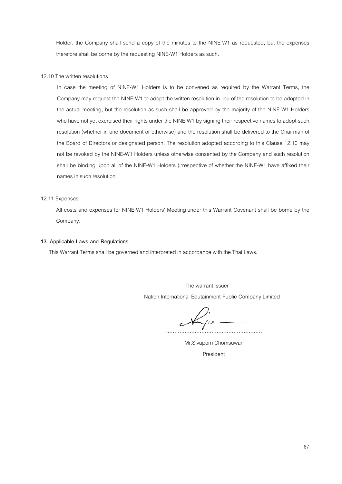Holder, the Company shall send a copy of the minutes to the NINE-W1 as requested, but the expenses therefore shall be borne by the requesting NINE-W1 Holders as such.

#### 12.10 The written resolutions

In case the meeting of NINE-W1 Holders is to be convened as required by the Warrant Terms, the Company may request the NINE-W1 to adopt the written resolution in lieu of the resolution to be adopted in the actual meeting, but the resolution as such shall be approved by the majority of the NINE-W1 Holders who have not yet exercised their rights under the NINE-W1 by signing their respective names to adopt such resolution (whether in one document or otherwise) and the resolution shall be delivered to the Chairman of the Board of Directors or designated person. The resolution adopted according to this Clause 12.10 may not be revoked by the NINE-W1 Holders unless otherwise consented by the Company and such resolution shall be binding upon all of the NINE-W1 Holders (irrespective of whether the NINE-W1 have affixed their names in such resolution.

# 12.11 Expenses

All costs and expenses for NINE-W1 Holders' Meeting under this Warrant Covenant shall be borne by the Company.

#### **13. Applicable Laws and Regulations**

This Warrant Terms shall be governed and interpreted in accordance with the Thai Laws.

The warrant issuer Nation International Edutainment Public Company Limited

.........................................................

 Mr.Sivaporn Chomsuwan President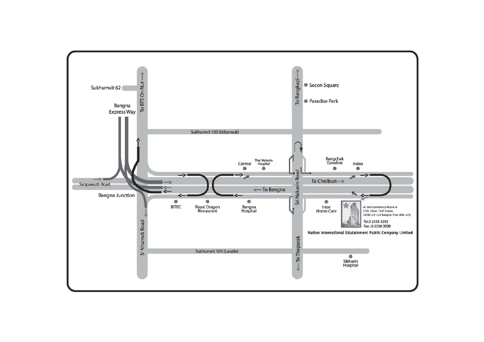